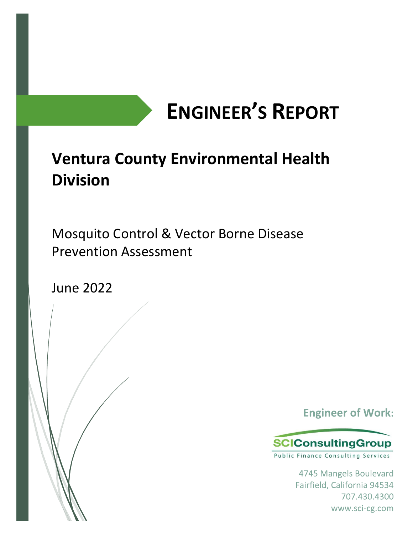# **ENGINEER'S REPORT**

## **Ventura County Environmental Health Division**

Mosquito Control & Vector Borne Disease Prevention Assessment

June 2022

**Engineer of Work:** 



4745 Mangels Boulevard Fairfield, California 94534 707.430.4300 www.sci-cg.com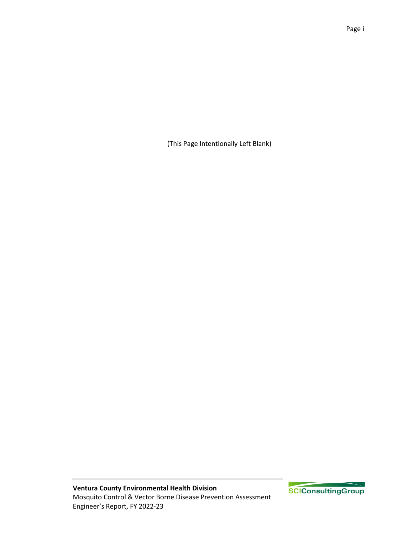(This Page Intentionally Left Blank)

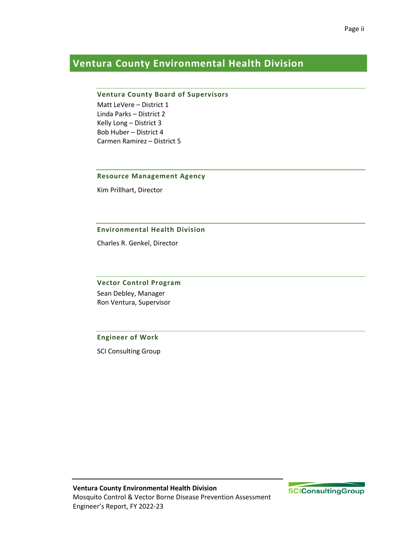## **Ventura County Environmental Health Division**

#### <span id="page-2-0"></span>**Ventura County Board of Supervisors**

Matt LeVere – District 1 Linda Parks – District 2 Kelly Long – District 3 Bob Huber – District 4 Carmen Ramirez – District 5

#### <span id="page-2-1"></span>**Resource Management Agency**

Kim Prillhart, Director

#### <span id="page-2-2"></span>**Environmental Health Division**

Charles R. Genkel, Director

<span id="page-2-3"></span>**Vector Control Program** Sean Debley, Manager Ron Ventura, Supervisor

<span id="page-2-4"></span>**Engineer of Work**

SCI Consulting Group

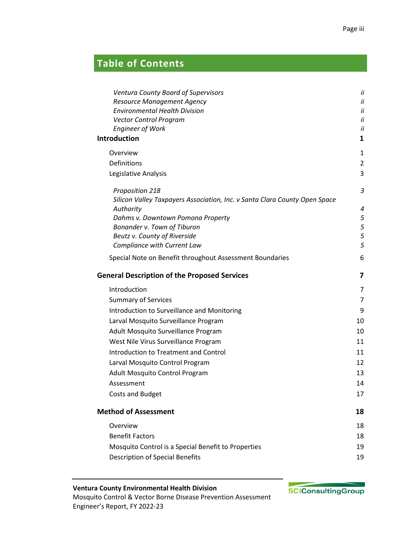## **Table of Contents**

| <b>Ventura County Board of Supervisors</b><br><b>Resource Management Agency</b>         | ii<br>ii       |
|-----------------------------------------------------------------------------------------|----------------|
| <b>Environmental Health Division</b>                                                    | ii             |
| Vector Control Program                                                                  | ii             |
| <b>Engineer of Work</b>                                                                 | ii             |
| <b>Introduction</b>                                                                     | 1              |
| Overview                                                                                | 1              |
| Definitions                                                                             | $\overline{2}$ |
| Legislative Analysis                                                                    | 3              |
| Proposition 218                                                                         | 3              |
| Silicon Valley Taxpayers Association, Inc. v Santa Clara County Open Space<br>Authority | 4              |
| Dahms v. Downtown Pomona Property                                                       | $\sqrt{5}$     |
| Bonander v. Town of Tiburon                                                             | 5              |
| Beutz v. County of Riverside                                                            | 5              |
| Compliance with Current Law                                                             | 5              |
| Special Note on Benefit throughout Assessment Boundaries                                | 6              |
| <b>General Description of the Proposed Services</b>                                     | 7              |
| Introduction                                                                            | 7              |
| <b>Summary of Services</b>                                                              | 7              |
| Introduction to Surveillance and Monitoring                                             | 9              |
| Larval Mosquito Surveillance Program                                                    | 10             |
| Adult Mosquito Surveillance Program                                                     | 10             |
| West Nile Virus Surveillance Program                                                    | 11             |
| Introduction to Treatment and Control                                                   | 11             |
| Larval Mosquito Control Program                                                         | 12             |
| Adult Mosquito Control Program                                                          | 13             |
| Assessment                                                                              | 14             |
| <b>Costs and Budget</b>                                                                 | 17             |
| <b>Method of Assessment</b>                                                             | 18             |
| Overview                                                                                | 18             |
| <b>Benefit Factors</b>                                                                  | 18             |
| Mosquito Control is a Special Benefit to Properties                                     | 19             |
| <b>Description of Special Benefits</b>                                                  | 19             |
|                                                                                         |                |

#### **Ventura County Environmental Health Division**

Mosquito Control & Vector Borne Disease Prevention Assessment Engineer's Report, FY 2022-23

**SCIConsultingGroup**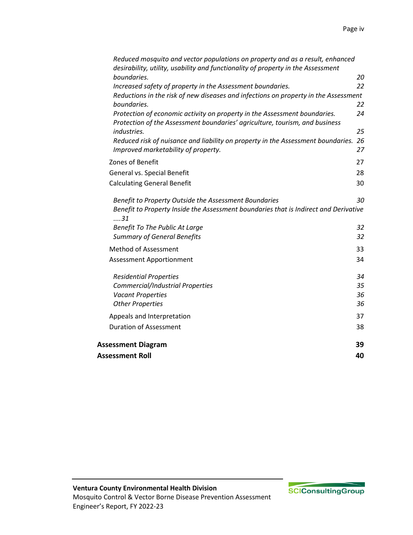| Reduced mosquito and vector populations on property and as a result, enhanced                                                                               |          |
|-------------------------------------------------------------------------------------------------------------------------------------------------------------|----------|
| desirability, utility, usability and functionality of property in the Assessment<br>boundaries.                                                             | 20       |
| Increased safety of property in the Assessment boundaries.                                                                                                  | 22       |
| Reductions in the risk of new diseases and infections on property in the Assessment                                                                         |          |
| boundaries.                                                                                                                                                 | 22       |
| Protection of economic activity on property in the Assessment boundaries.                                                                                   | 24       |
| Protection of the Assessment boundaries' agriculture, tourism, and business                                                                                 |          |
| industries.                                                                                                                                                 | 25       |
| Reduced risk of nuisance and liability on property in the Assessment boundaries.<br>Improved marketability of property.                                     | 26<br>27 |
| Zones of Benefit                                                                                                                                            | 27       |
| General vs. Special Benefit                                                                                                                                 | 28       |
| <b>Calculating General Benefit</b>                                                                                                                          | 30       |
| Benefit to Property Outside the Assessment Boundaries<br>Benefit to Property Inside the Assessment boundaries that is Indirect and Derivative<br>$\dots$ 31 | 30       |
| <b>Benefit To The Public At Large</b>                                                                                                                       | 32       |
| <b>Summary of General Benefits</b>                                                                                                                          | 32       |
| <b>Method of Assessment</b>                                                                                                                                 | 33       |
| Assessment Apportionment                                                                                                                                    | 34       |
| <b>Residential Properties</b>                                                                                                                               | 34       |
| Commercial/Industrial Properties                                                                                                                            | 35       |
| <b>Vacant Properties</b>                                                                                                                                    | 36       |
| <b>Other Properties</b>                                                                                                                                     | 36       |
| Appeals and Interpretation                                                                                                                                  | 37       |
| <b>Duration of Assessment</b>                                                                                                                               | 38       |
| <b>Assessment Diagram</b>                                                                                                                                   | 39       |
| <b>Assessment Roll</b>                                                                                                                                      | 40       |

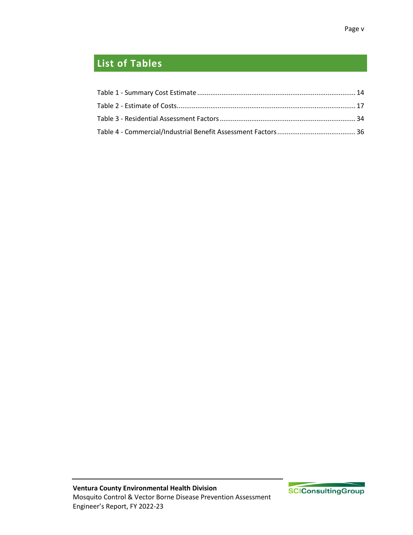## **List of Tables**

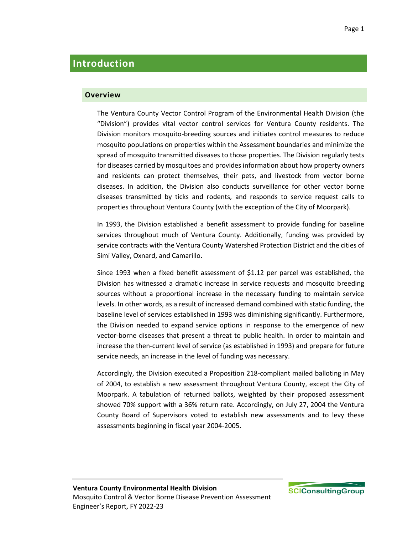### <span id="page-6-0"></span>**Introduction**

#### <span id="page-6-1"></span>**Overview**

The Ventura County Vector Control Program of the Environmental Health Division (the "Division") provides vital vector control services for Ventura County residents. The Division monitors mosquito-breeding sources and initiates control measures to reduce mosquito populations on properties within the Assessment boundaries and minimize the spread of mosquito transmitted diseases to those properties. The Division regularly tests for diseases carried by mosquitoes and provides information about how property owners and residents can protect themselves, their pets, and livestock from vector borne diseases. In addition, the Division also conducts surveillance for other vector borne diseases transmitted by ticks and rodents, and responds to service request calls to properties throughout Ventura County (with the exception of the City of Moorpark).

In 1993, the Division established a benefit assessment to provide funding for baseline services throughout much of Ventura County. Additionally, funding was provided by service contracts with the Ventura County Watershed Protection District and the cities of Simi Valley, Oxnard, and Camarillo.

Since 1993 when a fixed benefit assessment of \$1.12 per parcel was established, the Division has witnessed a dramatic increase in service requests and mosquito breeding sources without a proportional increase in the necessary funding to maintain service levels. In other words, as a result of increased demand combined with static funding, the baseline level of services established in 1993 was diminishing significantly. Furthermore, the Division needed to expand service options in response to the emergence of new vector-borne diseases that present a threat to public health. In order to maintain and increase the then-current level of service (as established in 1993) and prepare for future service needs, an increase in the level of funding was necessary.

Accordingly, the Division executed a Proposition 218-compliant mailed balloting in May of 2004, to establish a new assessment throughout Ventura County, except the City of Moorpark. A tabulation of returned ballots, weighted by their proposed assessment showed 70% support with a 36% return rate. Accordingly, on July 27, 2004 the Ventura County Board of Supervisors voted to establish new assessments and to levy these assessments beginning in fiscal year 2004-2005.

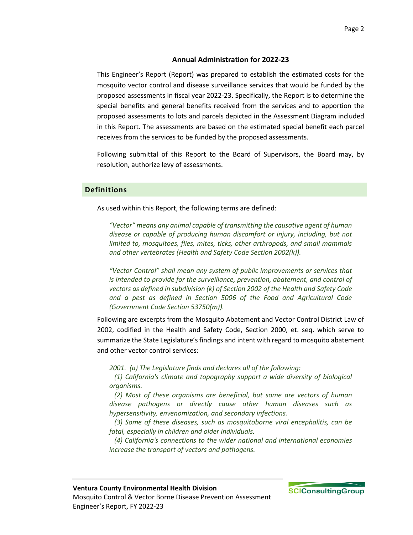#### **Annual Administration for 2022-23**

This Engineer's Report (Report) was prepared to establish the estimated costs for the mosquito vector control and disease surveillance services that would be funded by the proposed assessments in fiscal year 2022-23. Specifically, the Report is to determine the special benefits and general benefits received from the services and to apportion the proposed assessments to lots and parcels depicted in the Assessment Diagram included in this Report. The assessments are based on the estimated special benefit each parcel receives from the services to be funded by the proposed assessments.

Following submittal of this Report to the Board of Supervisors, the Board may, by resolution, authorize levy of assessments.

#### <span id="page-7-0"></span>**Definitions**

As used within this Report, the following terms are defined:

*"Vector" means any animal capable of transmitting the causative agent of human disease or capable of producing human discomfort or injury, including, but not limited to, mosquitoes, flies, mites, ticks, other arthropods, and small mammals and other vertebrates (Health and Safety Code Section 2002(k)).*

*"Vector Control" shall mean any system of public improvements or services that is intended to provide for the surveillance, prevention, abatement, and control of vectors as defined in subdivision (k) of Section 2002 of the Health and Safety Code and a pest as defined in Section 5006 of the Food and Agricultural Code (Government Code Section 53750(m)).*

Following are excerpts from the Mosquito Abatement and Vector Control District Law of 2002, codified in the Health and Safety Code, Section 2000, et. seq. which serve to summarize the State Legislature's findings and intent with regard to mosquito abatement and other vector control services:

*2001. (a) The Legislature finds and declares all of the following:*

 *(1) California's climate and topography support a wide diversity of biological organisms.*

 *(2) Most of these organisms are beneficial, but some are vectors of human disease pathogens or directly cause other human diseases such as hypersensitivity, envenomization, and secondary infections.*

 *(3) Some of these diseases, such as mosquitoborne viral encephalitis, can be fatal, especially in children and older individuals.*

 *(4) California's connections to the wider national and international economies increase the transport of vectors and pathogens.*



Mosquito Control & Vector Borne Disease Prevention Assessment Engineer's Report, FY 2022-23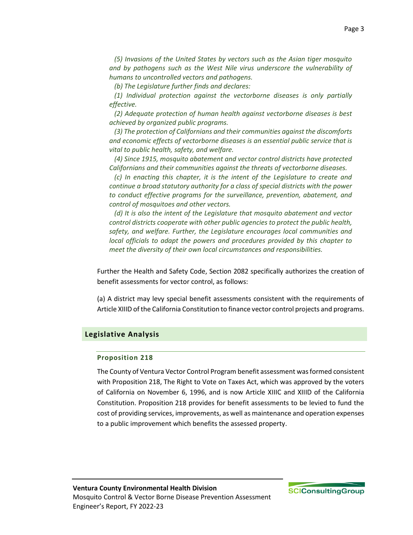*(5) Invasions of the United States by vectors such as the Asian tiger mosquito and by pathogens such as the West Nile virus underscore the vulnerability of humans to uncontrolled vectors and pathogens.*

 *(b) The Legislature further finds and declares:*

 *(1) Individual protection against the vectorborne diseases is only partially effective.*

 *(2) Adequate protection of human health against vectorborne diseases is best achieved by organized public programs.*

 *(3) The protection of Californians and their communities against the discomforts and economic effects of vectorborne diseases is an essential public service that is vital to public health, safety, and welfare.*

 *(4) Since 1915, mosquito abatement and vector control districts have protected Californians and their communities against the threats of vectorborne diseases.*

 *(c) In enacting this chapter, it is the intent of the Legislature to create and continue a broad statutory authority for a class of special districts with the power to conduct effective programs for the surveillance, prevention, abatement, and control of mosquitoes and other vectors.*

 *(d) It is also the intent of the Legislature that mosquito abatement and vector control districts cooperate with other public agencies to protect the public health, safety, and welfare. Further, the Legislature encourages local communities and local officials to adapt the powers and procedures provided by this chapter to meet the diversity of their own local circumstances and responsibilities.*

Further the Health and Safety Code, Section 2082 specifically authorizes the creation of benefit assessments for vector control, as follows:

(a) A district may levy special benefit assessments consistent with the requirements of Article XIIID of the California Constitution to finance vector control projects and programs.

#### <span id="page-8-0"></span>**Legislative Analysis**

#### <span id="page-8-1"></span>**Proposition 218**

The County of Ventura Vector Control Program benefit assessment wasformed consistent with Proposition 218, The Right to Vote on Taxes Act, which was approved by the voters of California on November 6, 1996, and is now Article XIIIC and XIIID of the California Constitution. Proposition 218 provides for benefit assessments to be levied to fund the cost of providing services, improvements, as well as maintenance and operation expenses to a public improvement which benefits the assessed property.

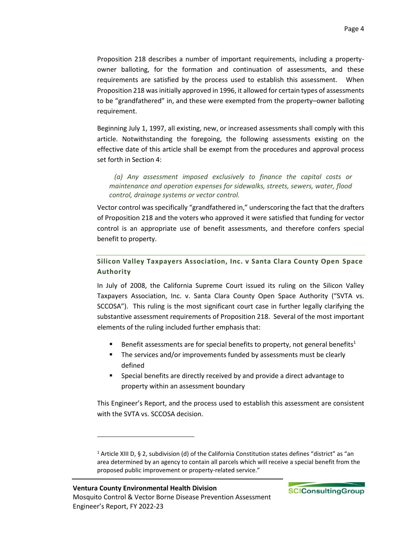Proposition 218 describes a number of important requirements, including a propertyowner balloting, for the formation and continuation of assessments, and these requirements are satisfied by the process used to establish this assessment. When Proposition 218 was initially approved in 1996, it allowed for certain types of assessments to be "grandfathered" in, and these were exempted from the property–owner balloting requirement.

Beginning July 1, 1997, all existing, new, or increased assessments shall comply with this article. Notwithstanding the foregoing, the following assessments existing on the effective date of this article shall be exempt from the procedures and approval process set forth in Section 4:

 *(a) Any assessment imposed exclusively to finance the capital costs or maintenance and operation expenses for sidewalks, streets, sewers, water, flood control, drainage systems or vector control.*

Vector control was specifically "grandfathered in," underscoring the fact that the drafters of Proposition 218 and the voters who approved it were satisfied that funding for vector control is an appropriate use of benefit assessments, and therefore confers special benefit to property.

#### <span id="page-9-0"></span>**Silicon Valley Taxpayers Association, Inc. v Santa Clara County Open Space Authority**

In July of 2008, the California Supreme Court issued its ruling on the Silicon Valley Taxpayers Association, Inc. v. Santa Clara County Open Space Authority ("SVTA vs. SCCOSA"). This ruling is the most significant court case in further legally clarifying the substantive assessment requirements of Proposition 218. Several of the most important elements of the ruling included further emphasis that:

- Benefit assessments are for special benefits to property, not general benefits<sup>1</sup>
- The services and/or improvements funded by assessments must be clearly defined
- Special benefits are directly received by and provide a direct advantage to property within an assessment boundary

This Engineer's Report, and the process used to establish this assessment are consistent with the SVTA vs. SCCOSA decision.



<sup>1</sup> Article XIII D, § 2, subdivision (d) of the California Constitution states defines "district" as "an area determined by an agency to contain all parcels which will receive a special benefit from the proposed public improvement or property-related service."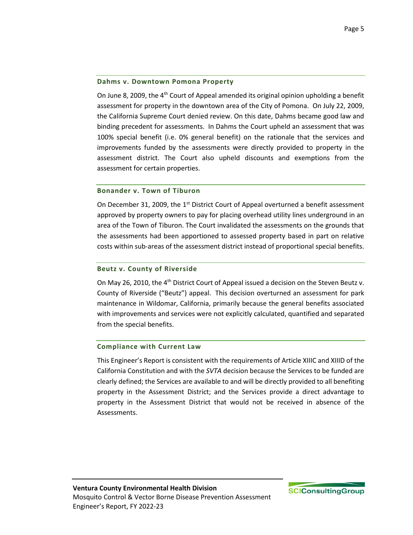#### <span id="page-10-0"></span>**Dahms v. Downtown Pomona Property**

On June 8, 2009, the  $4<sup>th</sup>$  Court of Appeal amended its original opinion upholding a benefit assessment for property in the downtown area of the City of Pomona. On July 22, 2009, the California Supreme Court denied review. On this date, Dahms became good law and binding precedent for assessments. In Dahms the Court upheld an assessment that was 100% special benefit (i.e. 0% general benefit) on the rationale that the services and improvements funded by the assessments were directly provided to property in the assessment district. The Court also upheld discounts and exemptions from the assessment for certain properties.

#### <span id="page-10-1"></span>**Bonander v. Town of Tiburon**

On December 31, 2009, the  $1<sup>st</sup>$  District Court of Appeal overturned a benefit assessment approved by property owners to pay for placing overhead utility lines underground in an area of the Town of Tiburon. The Court invalidated the assessments on the grounds that the assessments had been apportioned to assessed property based in part on relative costs within sub-areas of the assessment district instead of proportional special benefits.

#### <span id="page-10-2"></span>**Beutz v. County of Riverside**

On May 26, 2010, the 4<sup>th</sup> District Court of Appeal issued a decision on the Steven Beutz v. County of Riverside ("Beutz") appeal. This decision overturned an assessment for park maintenance in Wildomar, California, primarily because the general benefits associated with improvements and services were not explicitly calculated, quantified and separated from the special benefits.

#### <span id="page-10-3"></span>**Compliance with Current Law**

This Engineer's Report is consistent with the requirements of Article XIIIC and XIIID of the California Constitution and with the *SVTA* decision because the Services to be funded are clearly defined; the Services are available to and will be directly provided to all benefiting property in the Assessment District; and the Services provide a direct advantage to property in the Assessment District that would not be received in absence of the Assessments.

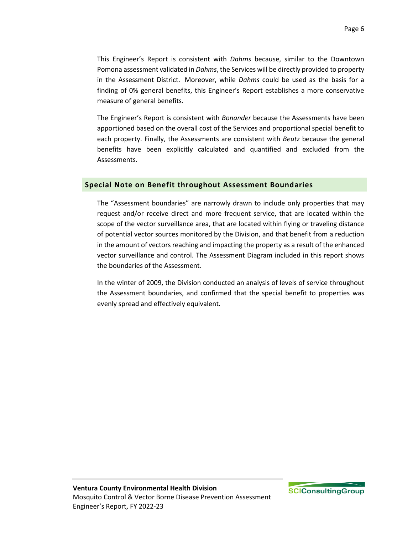This Engineer's Report is consistent with *Dahms* because, similar to the Downtown Pomona assessment validated in *Dahms*, the Services will be directly provided to property in the Assessment District. Moreover, while *Dahms* could be used as the basis for a finding of 0% general benefits, this Engineer's Report establishes a more conservative measure of general benefits.

The Engineer's Report is consistent with *Bonander* because the Assessments have been apportioned based on the overall cost of the Services and proportional special benefit to each property. Finally, the Assessments are consistent with *Beutz* because the general benefits have been explicitly calculated and quantified and excluded from the Assessments.

#### <span id="page-11-0"></span>**Special Note on Benefit throughout Assessment Boundaries**

The "Assessment boundaries" are narrowly drawn to include only properties that may request and/or receive direct and more frequent service, that are located within the scope of the vector surveillance area, that are located within flying or traveling distance of potential vector sources monitored by the Division, and that benefit from a reduction in the amount of vectors reaching and impacting the property as a result of the enhanced vector surveillance and control. The Assessment Diagram included in this report shows the boundaries of the Assessment.

In the winter of 2009, the Division conducted an analysis of levels of service throughout the Assessment boundaries, and confirmed that the special benefit to properties was evenly spread and effectively equivalent.

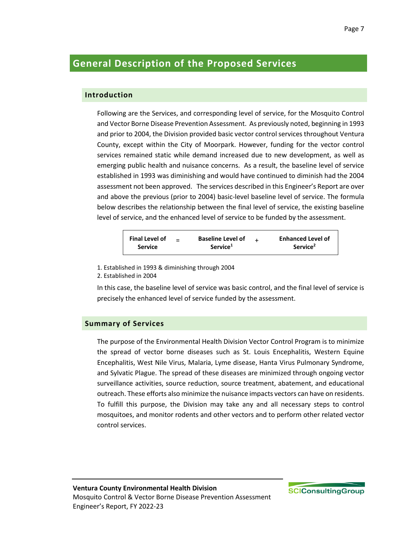## <span id="page-12-0"></span>**General Description of the Proposed Services**

#### <span id="page-12-1"></span>**Introduction**

Following are the Services, and corresponding level of service, for the Mosquito Control and Vector Borne Disease Prevention Assessment. As previously noted, beginning in 1993 and prior to 2004, the Division provided basic vector control services throughout Ventura County, except within the City of Moorpark. However, funding for the vector control services remained static while demand increased due to new development, as well as emerging public health and nuisance concerns. As a result, the baseline level of service established in 1993 was diminishing and would have continued to diminish had the 2004 assessment not been approved. The services described in this Engineer's Report are over and above the previous (prior to 2004) basic-level baseline level of service. The formula below describes the relationship between the final level of service, the existing baseline level of service, and the enhanced level of service to be funded by the assessment.

| <b>Final Level of</b> | $\qquad \qquad$ | <b>Baseline Level of</b> | <b>Enhanced Level of</b> |
|-----------------------|-----------------|--------------------------|--------------------------|
| Service               |                 | Service <sup>1</sup>     | Service <sup>2</sup>     |

1. Established in 1993 & diminishing through 2004

2. Established in 2004

In this case, the baseline level of service was basic control, and the final level of service is precisely the enhanced level of service funded by the assessment.

#### <span id="page-12-2"></span>**Summary of Services**

The purpose of the Environmental Health Division Vector Control Program is to minimize the spread of vector borne diseases such as St. Louis Encephalitis, Western Equine Encephalitis, West Nile Virus, Malaria, Lyme disease, Hanta Virus Pulmonary Syndrome, and Sylvatic Plague. The spread of these diseases are minimized through ongoing vector surveillance activities, source reduction, source treatment, abatement, and educational outreach. These efforts also minimize the nuisance impacts vectors can have on residents. To fulfill this purpose, the Division may take any and all necessary steps to control mosquitoes, and monitor rodents and other vectors and to perform other related vector control services.

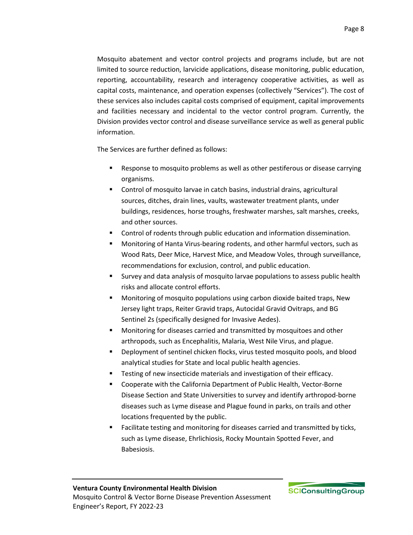Mosquito abatement and vector control projects and programs include, but are not limited to source reduction, larvicide applications, disease monitoring, public education, reporting, accountability, research and interagency cooperative activities, as well as capital costs, maintenance, and operation expenses (collectively "Services"). The cost of these services also includes capital costs comprised of equipment, capital improvements and facilities necessary and incidental to the vector control program. Currently, the Division provides vector control and disease surveillance service as well as general public information.

The Services are further defined as follows:

- Response to mosquito problems as well as other pestiferous or disease carrying organisms.
- Control of mosquito larvae in catch basins, industrial drains, agricultural sources, ditches, drain lines, vaults, wastewater treatment plants, under buildings, residences, horse troughs, freshwater marshes, salt marshes, creeks, and other sources.
- Control of rodents through public education and information dissemination.
- Monitoring of Hanta Virus-bearing rodents, and other harmful vectors, such as Wood Rats, Deer Mice, Harvest Mice, and Meadow Voles, through surveillance, recommendations for exclusion, control, and public education.
- Survey and data analysis of mosquito larvae populations to assess public health risks and allocate control efforts.
- Monitoring of mosquito populations using carbon dioxide baited traps, New Jersey light traps, Reiter Gravid traps, Autocidal Gravid Ovitraps, and BG Sentinel 2s (specifically designed for Invasive Aedes).
- Monitoring for diseases carried and transmitted by mosquitoes and other arthropods, such as Encephalitis, Malaria, West Nile Virus, and plague.
- Deployment of sentinel chicken flocks, virus tested mosquito pools, and blood analytical studies for State and local public health agencies.
- Testing of new insecticide materials and investigation of their efficacy.
- Cooperate with the California Department of Public Health, Vector-Borne Disease Section and State Universities to survey and identify arthropod-borne diseases such as Lyme disease and Plague found in parks, on trails and other locations frequented by the public.
- Facilitate testing and monitoring for diseases carried and transmitted by ticks, such as Lyme disease, Ehrlichiosis, Rocky Mountain Spotted Fever, and Babesiosis.

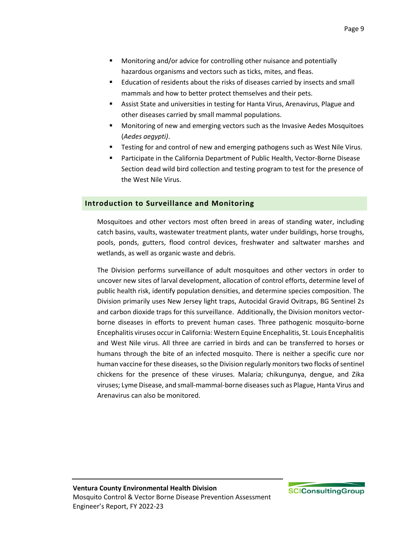- Monitoring and/or advice for controlling other nuisance and potentially hazardous organisms and vectors such as ticks, mites, and fleas.
- Education of residents about the risks of diseases carried by insects and small mammals and how to better protect themselves and their pets.
- Assist State and universities in testing for Hanta Virus, Arenavirus, Plague and other diseases carried by small mammal populations.
- Monitoring of new and emerging vectors such as the Invasive Aedes Mosquitoes (*Aedes aegypti)*.
- Testing for and control of new and emerging pathogens such as West Nile Virus.
- Participate in the California Department of Public Health, Vector-Borne Disease Section dead wild bird collection and testing program to test for the presence of the West Nile Virus.

#### <span id="page-14-0"></span>**Introduction to Surveillance and Monitoring**

Mosquitoes and other vectors most often breed in areas of standing water, including catch basins, vaults, wastewater treatment plants, water under buildings, horse troughs, pools, ponds, gutters, flood control devices, freshwater and saltwater marshes and wetlands, as well as organic waste and debris.

The Division performs surveillance of adult mosquitoes and other vectors in order to uncover new sites of larval development, allocation of control efforts, determine level of public health risk, identify population densities, and determine species composition. The Division primarily uses New Jersey light traps, Autocidal Gravid Ovitraps, BG Sentinel 2s and carbon dioxide traps for this surveillance. Additionally, the Division monitors vectorborne diseases in efforts to prevent human cases. Three pathogenic mosquito-borne Encephalitis viruses occur in California: Western Equine Encephalitis, St. Louis Encephalitis and West Nile virus. All three are carried in birds and can be transferred to horses or humans through the bite of an infected mosquito. There is neither a specific cure nor human vaccine for these diseases, so the Division regularly monitors two flocks of sentinel chickens for the presence of these viruses. Malaria; chikungunya, dengue, and Zika viruses; Lyme Disease, and small-mammal-borne diseases such as Plague, Hanta Virus and Arenavirus can also be monitored.

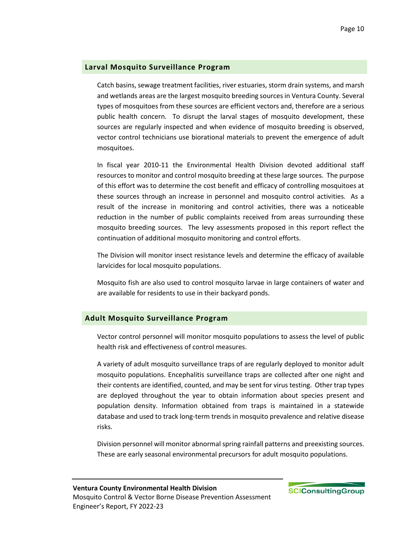#### <span id="page-15-0"></span>**Larval Mosquito Surveillance Program**

Catch basins, sewage treatment facilities, river estuaries, storm drain systems, and marsh and wetlands areas are the largest mosquito breeding sources in Ventura County. Several types of mosquitoes from these sources are efficient vectors and, therefore are a serious public health concern. To disrupt the larval stages of mosquito development, these sources are regularly inspected and when evidence of mosquito breeding is observed, vector control technicians use biorational materials to prevent the emergence of adult mosquitoes.

In fiscal year 2010-11 the Environmental Health Division devoted additional staff resources to monitor and control mosquito breeding at these large sources. The purpose of this effort was to determine the cost benefit and efficacy of controlling mosquitoes at these sources through an increase in personnel and mosquito control activities. As a result of the increase in monitoring and control activities, there was a noticeable reduction in the number of public complaints received from areas surrounding these mosquito breeding sources. The levy assessments proposed in this report reflect the continuation of additional mosquito monitoring and control efforts.

The Division will monitor insect resistance levels and determine the efficacy of available larvicides for local mosquito populations.

Mosquito fish are also used to control mosquito larvae in large containers of water and are available for residents to use in their backyard ponds.

#### <span id="page-15-1"></span>**Adult Mosquito Surveillance Program**

Vector control personnel will monitor mosquito populations to assess the level of public health risk and effectiveness of control measures.

A variety of adult mosquito surveillance traps of are regularly deployed to monitor adult mosquito populations. Encephalitis surveillance traps are collected after one night and their contents are identified, counted, and may be sent for virus testing. Other trap types are deployed throughout the year to obtain information about species present and population density. Information obtained from traps is maintained in a statewide database and used to track long-term trends in mosquito prevalence and relative disease risks.

Division personnel will monitor abnormal spring rainfall patterns and preexisting sources. These are early seasonal environmental precursors for adult mosquito populations.

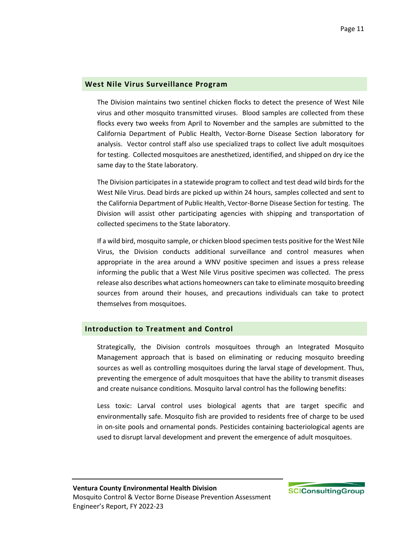#### <span id="page-16-0"></span>**West Nile Virus Surveillance Program**

The Division maintains two sentinel chicken flocks to detect the presence of West Nile virus and other mosquito transmitted viruses. Blood samples are collected from these flocks every two weeks from April to November and the samples are submitted to the California Department of Public Health, Vector-Borne Disease Section laboratory for analysis. Vector control staff also use specialized traps to collect live adult mosquitoes for testing. Collected mosquitoes are anesthetized, identified, and shipped on dry ice the same day to the State laboratory.

The Division participates in a statewide program to collect and test dead wild birds for the West Nile Virus. Dead birds are picked up within 24 hours, samples collected and sent to the California Department of Public Health, Vector-Borne Disease Section for testing. The Division will assist other participating agencies with shipping and transportation of collected specimens to the State laboratory.

If a wild bird, mosquito sample, or chicken blood specimen tests positive for the West Nile Virus, the Division conducts additional surveillance and control measures when appropriate in the area around a WNV positive specimen and issues a press release informing the public that a West Nile Virus positive specimen was collected. The press release also describes what actions homeowners can take to eliminate mosquito breeding sources from around their houses, and precautions individuals can take to protect themselves from mosquitoes.

#### <span id="page-16-1"></span>**Introduction to Treatment and Control**

Strategically, the Division controls mosquitoes through an Integrated Mosquito Management approach that is based on eliminating or reducing mosquito breeding sources as well as controlling mosquitoes during the larval stage of development. Thus, preventing the emergence of adult mosquitoes that have the ability to transmit diseases and create nuisance conditions. Mosquito larval control has the following benefits:

Less toxic: Larval control uses biological agents that are target specific and environmentally safe. Mosquito fish are provided to residents free of charge to be used in on-site pools and ornamental ponds. Pesticides containing bacteriological agents are used to disrupt larval development and prevent the emergence of adult mosquitoes.

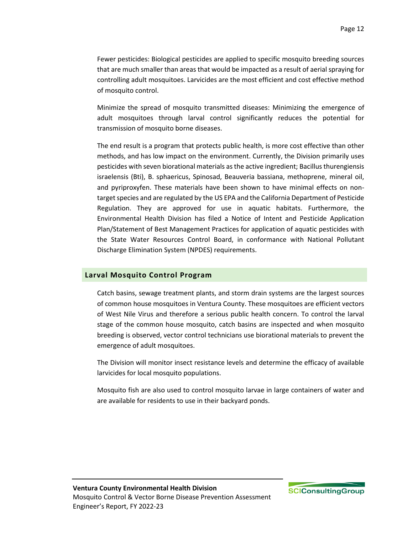Fewer pesticides: Biological pesticides are applied to specific mosquito breeding sources that are much smaller than areas that would be impacted as a result of aerial spraying for controlling adult mosquitoes. Larvicides are the most efficient and cost effective method of mosquito control.

Minimize the spread of mosquito transmitted diseases: Minimizing the emergence of adult mosquitoes through larval control significantly reduces the potential for transmission of mosquito borne diseases.

The end result is a program that protects public health, is more cost effective than other methods, and has low impact on the environment. Currently, the Division primarily uses pesticides with seven biorational materials as the active ingredient; Bacillus thurengiensis israelensis (Bti), B. sphaericus, Spinosad, Beauveria bassiana, methoprene, mineral oil, and pyriproxyfen. These materials have been shown to have minimal effects on nontarget species and are regulated by the US EPA and the California Department of Pesticide Regulation. They are approved for use in aquatic habitats. Furthermore, the Environmental Health Division has filed a Notice of Intent and Pesticide Application Plan/Statement of Best Management Practices for application of aquatic pesticides with the State Water Resources Control Board, in conformance with National Pollutant Discharge Elimination System (NPDES) requirements.

#### <span id="page-17-0"></span>**Larval Mosquito Control Program**

Catch basins, sewage treatment plants, and storm drain systems are the largest sources of common house mosquitoes in Ventura County. These mosquitoes are efficient vectors of West Nile Virus and therefore a serious public health concern. To control the larval stage of the common house mosquito, catch basins are inspected and when mosquito breeding is observed, vector control technicians use biorational materials to prevent the emergence of adult mosquitoes.

The Division will monitor insect resistance levels and determine the efficacy of available larvicides for local mosquito populations.

Mosquito fish are also used to control mosquito larvae in large containers of water and are available for residents to use in their backyard ponds.

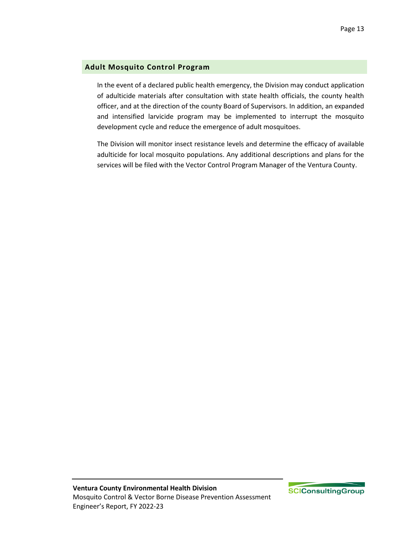#### <span id="page-18-0"></span>**Adult Mosquito Control Program**

In the event of a declared public health emergency, the Division may conduct application of adulticide materials after consultation with state health officials, the county health officer, and at the direction of the county Board of Supervisors. In addition, an expanded and intensified larvicide program may be implemented to interrupt the mosquito development cycle and reduce the emergence of adult mosquitoes.

The Division will monitor insect resistance levels and determine the efficacy of available adulticide for local mosquito populations. Any additional descriptions and plans for the services will be filed with the Vector Control Program Manager of the Ventura County.

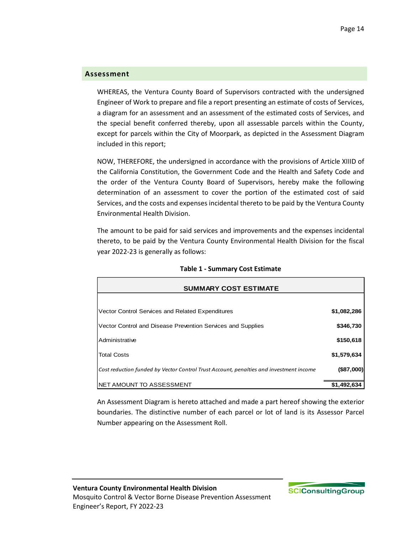#### <span id="page-19-0"></span>**Assessment**

WHEREAS, the Ventura County Board of Supervisors contracted with the undersigned Engineer of Work to prepare and file a report presenting an estimate of costs of Services, a diagram for an assessment and an assessment of the estimated costs of Services, and the special benefit conferred thereby, upon all assessable parcels within the County, except for parcels within the City of Moorpark, as depicted in the Assessment Diagram included in this report;

NOW, THEREFORE, the undersigned in accordance with the provisions of Article XIIID of the California Constitution, the Government Code and the Health and Safety Code and the order of the Ventura County Board of Supervisors, hereby make the following determination of an assessment to cover the portion of the estimated cost of said Services, and the costs and expenses incidental thereto to be paid by the Ventura County Environmental Health Division.

The amount to be paid for said services and improvements and the expenses incidental thereto, to be paid by the Ventura County Environmental Health Division for the fiscal year 2022-23 is generally as follows:

<span id="page-19-1"></span>

| <b>SUMMARY COST ESTIMATE</b>                                                           |             |
|----------------------------------------------------------------------------------------|-------------|
|                                                                                        |             |
| <b>Vector Control Services and Related Expenditures</b>                                | \$1,082,286 |
| Vector Control and Disease Prevention Services and Supplies                            | \$346,730   |
| Administrative                                                                         | \$150,618   |
| <b>Total Costs</b>                                                                     | \$1,579,634 |
| Cost reduction funded by Vector Control Trust Account, penalties and investment income | (\$87,000)  |
| INET AMOUNT TO ASSESSMENT                                                              | \$1.492.634 |

An Assessment Diagram is hereto attached and made a part hereof showing the exterior boundaries. The distinctive number of each parcel or lot of land is its Assessor Parcel Number appearing on the Assessment Roll.

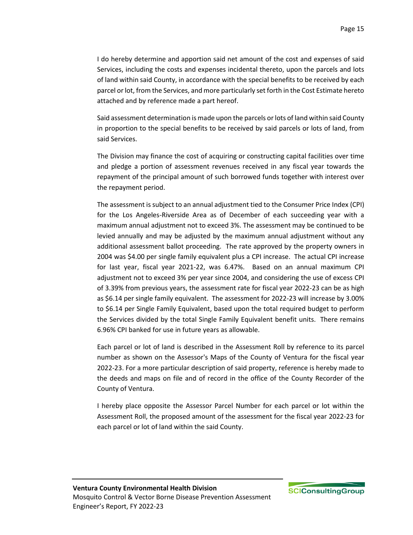I do hereby determine and apportion said net amount of the cost and expenses of said Services, including the costs and expenses incidental thereto, upon the parcels and lots of land within said County, in accordance with the special benefits to be received by each parcel or lot, from the Services, and more particularly set forth in the Cost Estimate hereto attached and by reference made a part hereof.

Said assessment determination is made upon the parcels or lots of land within said County in proportion to the special benefits to be received by said parcels or lots of land, from said Services.

The Division may finance the cost of acquiring or constructing capital facilities over time and pledge a portion of assessment revenues received in any fiscal year towards the repayment of the principal amount of such borrowed funds together with interest over the repayment period.

The assessment is subject to an annual adjustment tied to the Consumer Price Index (CPI) for the Los Angeles-Riverside Area as of December of each succeeding year with a maximum annual adjustment not to exceed 3%. The assessment may be continued to be levied annually and may be adjusted by the maximum annual adjustment without any additional assessment ballot proceeding. The rate approved by the property owners in 2004 was \$4.00 per single family equivalent plus a CPI increase. The actual CPI increase for last year, fiscal year 2021-22, was 6.47%. Based on an annual maximum CPI adjustment not to exceed 3% per year since 2004, and considering the use of excess CPI of 3.39% from previous years, the assessment rate for fiscal year 2022-23 can be as high as \$6.14 per single family equivalent. The assessment for 2022-23 will increase by 3.00% to \$6.14 per Single Family Equivalent, based upon the total required budget to perform the Services divided by the total Single Family Equivalent benefit units. There remains 6.96% CPI banked for use in future years as allowable.

Each parcel or lot of land is described in the Assessment Roll by reference to its parcel number as shown on the Assessor's Maps of the County of Ventura for the fiscal year 2022-23. For a more particular description of said property, reference is hereby made to the deeds and maps on file and of record in the office of the County Recorder of the County of Ventura.

I hereby place opposite the Assessor Parcel Number for each parcel or lot within the Assessment Roll, the proposed amount of the assessment for the fiscal year 2022-23 for each parcel or lot of land within the said County.

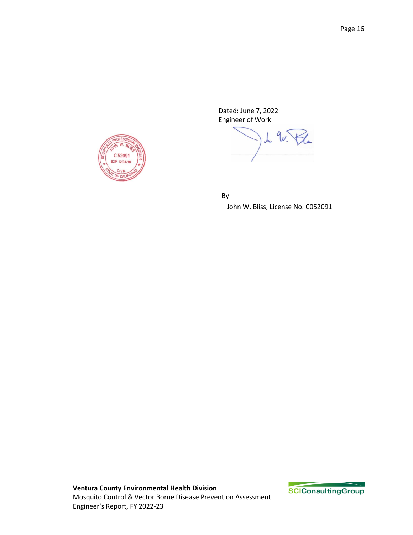

Dated: June 7, 2022 Engineer of Work

 $L 9v$ 

 $By$ <sub>\_\_\_\_\_</sub> John W. Bliss, License No. C052091

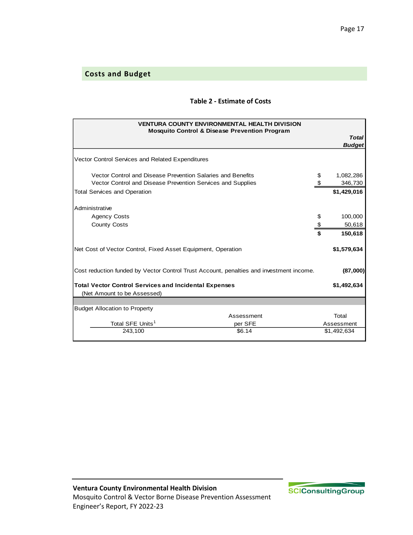#### <span id="page-22-1"></span><span id="page-22-0"></span>**Costs and Budget**

#### **Table 2 - Estimate of Costs**

| <b>VENTURA COUNTY ENVIRONMENTAL HEALTH DIVISION</b>                                     |            |                 |
|-----------------------------------------------------------------------------------------|------------|-----------------|
| <b>Mosquito Control &amp; Disease Prevention Program</b>                                |            | Total           |
|                                                                                         |            | <b>Budget</b>   |
|                                                                                         |            |                 |
| Vector Control Services and Related Expenditures                                        |            |                 |
|                                                                                         |            |                 |
| Vector Control and Disease Prevention Salaries and Benefits                             |            | \$<br>1,082,286 |
| Vector Control and Disease Prevention Services and Supplies                             |            | \$<br>346,730   |
| Total Services and Operation                                                            |            | \$1,429,016     |
|                                                                                         |            |                 |
| Administrative                                                                          |            |                 |
| <b>Agency Costs</b>                                                                     |            | \$<br>100,000   |
| <b>County Costs</b>                                                                     |            | \$<br>50,618    |
|                                                                                         |            | \$<br>150,618   |
|                                                                                         |            |                 |
| Net Cost of Vector Control, Fixed Asset Equipment, Operation                            |            | \$1,579,634     |
|                                                                                         |            |                 |
|                                                                                         |            |                 |
| Cost reduction funded by Vector Control Trust Account, penalties and investment income. |            | (87,000)        |
| <b>Total Vector Control Services and Incidental Expenses</b>                            |            | \$1,492,634     |
| (Net Amount to be Assessed)                                                             |            |                 |
|                                                                                         |            |                 |
| <b>Budget Allocation to Property</b>                                                    |            |                 |
|                                                                                         | Assessment | Total           |
| Total SFE Units <sup>1</sup>                                                            | per SFE    | Assessment      |
| 243.100                                                                                 | \$6.14     | \$1,492,634     |
|                                                                                         |            |                 |

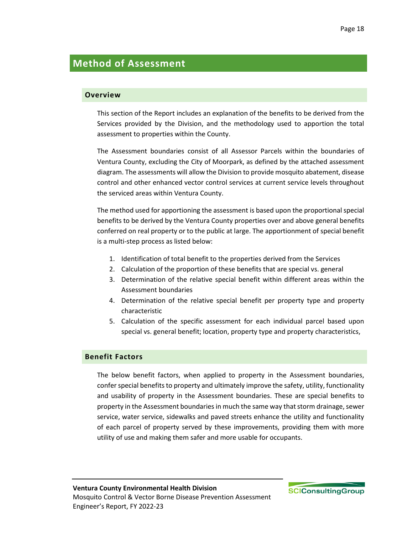## <span id="page-23-0"></span>**Method of Assessment**

#### <span id="page-23-1"></span>**Overview**

This section of the Report includes an explanation of the benefits to be derived from the Services provided by the Division, and the methodology used to apportion the total assessment to properties within the County.

The Assessment boundaries consist of all Assessor Parcels within the boundaries of Ventura County, excluding the City of Moorpark, as defined by the attached assessment diagram. The assessments will allow the Division to provide mosquito abatement, disease control and other enhanced vector control services at current service levels throughout the serviced areas within Ventura County.

The method used for apportioning the assessment is based upon the proportional special benefits to be derived by the Ventura County properties over and above general benefits conferred on real property or to the public at large. The apportionment of special benefit is a multi-step process as listed below:

- 1. Identification of total benefit to the properties derived from the Services
- 2. Calculation of the proportion of these benefits that are special vs. general
- 3. Determination of the relative special benefit within different areas within the Assessment boundaries
- 4. Determination of the relative special benefit per property type and property characteristic
- 5. Calculation of the specific assessment for each individual parcel based upon special vs. general benefit; location, property type and property characteristics,

#### <span id="page-23-2"></span>**Benefit Factors**

The below benefit factors, when applied to property in the Assessment boundaries, confer special benefits to property and ultimately improve the safety, utility, functionality and usability of property in the Assessment boundaries. These are special benefits to property in the Assessment boundariesin much the same way that storm drainage, sewer service, water service, sidewalks and paved streets enhance the utility and functionality of each parcel of property served by these improvements, providing them with more utility of use and making them safer and more usable for occupants.

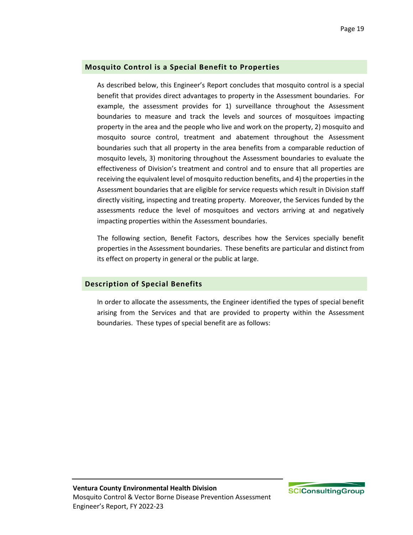#### <span id="page-24-0"></span>**Mosquito Control is a Special Benefit to Properties**

As described below, this Engineer's Report concludes that mosquito control is a special benefit that provides direct advantages to property in the Assessment boundaries. For example, the assessment provides for 1) surveillance throughout the Assessment boundaries to measure and track the levels and sources of mosquitoes impacting property in the area and the people who live and work on the property, 2) mosquito and mosquito source control, treatment and abatement throughout the Assessment boundaries such that all property in the area benefits from a comparable reduction of mosquito levels, 3) monitoring throughout the Assessment boundaries to evaluate the effectiveness of Division's treatment and control and to ensure that all properties are receiving the equivalent level of mosquito reduction benefits, and 4) the properties in the Assessment boundaries that are eligible for service requests which result in Division staff directly visiting, inspecting and treating property. Moreover, the Services funded by the assessments reduce the level of mosquitoes and vectors arriving at and negatively impacting properties within the Assessment boundaries.

The following section, Benefit Factors, describes how the Services specially benefit properties in the Assessment boundaries. These benefits are particular and distinct from its effect on property in general or the public at large.

#### <span id="page-24-1"></span>**Description of Special Benefits**

In order to allocate the assessments, the Engineer identified the types of special benefit arising from the Services and that are provided to property within the Assessment boundaries. These types of special benefit are as follows:

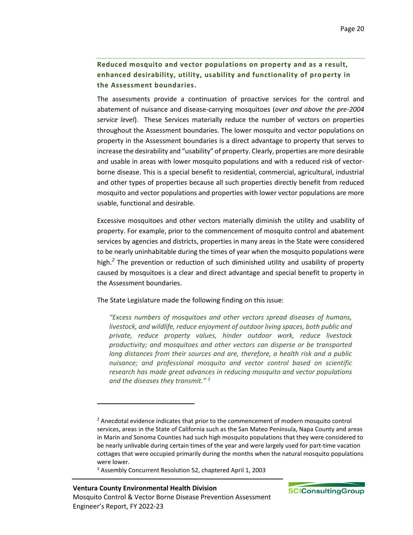#### <span id="page-25-0"></span>**Reduced mosquito and vector populations on property and as a result, enhanced desirability, utility, usability and functionality of pro perty in the Assessment boundaries.**

The assessments provide a continuation of proactive services for the control and abatement of nuisance and disease-carrying mosquitoes (*over and above the pre-2004 service level*). These Services materially reduce the number of vectors on properties throughout the Assessment boundaries. The lower mosquito and vector populations on property in the Assessment boundaries is a direct advantage to property that serves to increase the desirability and "usability" of property. Clearly, properties are more desirable and usable in areas with lower mosquito populations and with a reduced risk of vectorborne disease. This is a special benefit to residential, commercial, agricultural, industrial and other types of properties because all such properties directly benefit from reduced mosquito and vector populations and properties with lower vector populations are more usable, functional and desirable.

Excessive mosquitoes and other vectors materially diminish the utility and usability of property. For example, prior to the commencement of mosquito control and abatement services by agencies and districts, properties in many areas in the State were considered to be nearly uninhabitable during the times of year when the mosquito populations were high.*<sup>2</sup>* The prevention or reduction of such diminished utility and usability of property caused by mosquitoes is a clear and direct advantage and special benefit to property in the Assessment boundaries.

The State Legislature made the following finding on this issue:

*"Excess numbers of mosquitoes and other vectors spread diseases of humans, livestock, and wildlife, reduce enjoyment of outdoor living spaces, both public and private, reduce property values, hinder outdoor work, reduce livestock productivity; and mosquitoes and other vectors can disperse or be transported long distances from their sources and are, therefore, a health risk and a public nuisance; and professional mosquito and vector control based on scientific research has made great advances in reducing mosquito and vector populations and the diseases they transmit." <sup>3</sup>*

<sup>3</sup> Assembly Concurrent Resolution 52, chaptered April 1, 2003



<sup>&</sup>lt;sup>2</sup> Anecdotal evidence indicates that prior to the commencement of modern mosquito control services, areas in the State of California such as the San Mateo Peninsula, Napa County and areas in Marin and Sonoma Counties had such high mosquito populations that they were considered to be nearly unlivable during certain times of the year and were largely used for part-time vacation cottages that were occupied primarily during the months when the natural mosquito populations were lower.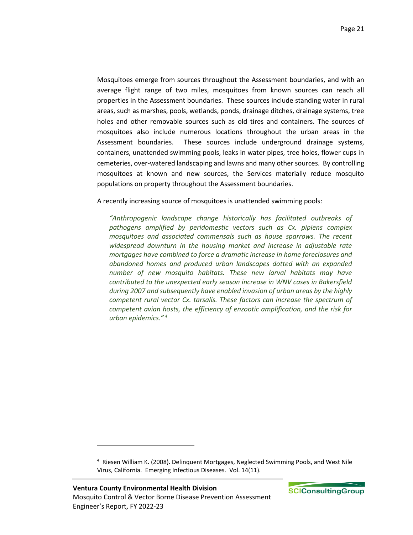Mosquitoes emerge from sources throughout the Assessment boundaries, and with an average flight range of two miles, mosquitoes from known sources can reach all properties in the Assessment boundaries. These sources include standing water in rural areas, such as marshes, pools, wetlands, ponds, drainage ditches, drainage systems, tree holes and other removable sources such as old tires and containers. The sources of mosquitoes also include numerous locations throughout the urban areas in the Assessment boundaries. These sources include underground drainage systems, containers, unattended swimming pools, leaks in water pipes, tree holes, flower cups in cemeteries, over-watered landscaping and lawns and many other sources. By controlling mosquitoes at known and new sources, the Services materially reduce mosquito populations on property throughout the Assessment boundaries.

A recently increasing source of mosquitoes is unattended swimming pools:

*"Anthropogenic landscape change historically has facilitated outbreaks of pathogens amplified by peridomestic vectors such as Cx. pipiens complex mosquitoes and associated commensals such as house sparrows. The recent widespread downturn in the housing market and increase in adjustable rate mortgages have combined to force a dramatic increase in home foreclosures and abandoned homes and produced urban landscapes dotted with an expanded number of new mosquito habitats. These new larval habitats may have contributed to the unexpected early season increase in WNV cases in Bakersfield during 2007 and subsequently have enabled invasion of urban areas by the highly competent rural vector Cx. tarsalis. These factors can increase the spectrum of competent avian hosts, the efficiency of enzootic amplification, and the risk for urban epidemics." <sup>4</sup>*



<sup>&</sup>lt;sup>4</sup> Riesen William K. (2008). Delinquent Mortgages, Neglected Swimming Pools, and West Nile Virus, California. Emerging Infectious Diseases. Vol. 14(11).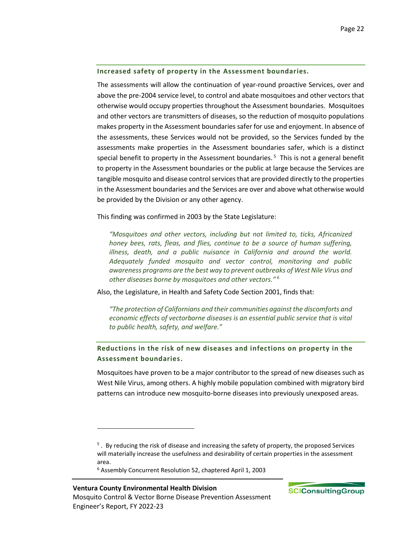#### <span id="page-27-0"></span>**Increased safety of property in the Assessment boundaries.**

The assessments will allow the continuation of year-round proactive Services, over and above the pre-2004 service level, to control and abate mosquitoes and other vectors that otherwise would occupy properties throughout the Assessment boundaries. Mosquitoes and other vectors are transmitters of diseases, so the reduction of mosquito populations makes property in the Assessment boundaries safer for use and enjoyment. In absence of the assessments, these Services would not be provided, so the Services funded by the assessments make properties in the Assessment boundaries safer, which is a distinct special benefit to property in the Assessment boundaries. 5 This is not a general benefit to property in the Assessment boundaries or the public at large because the Services are tangible mosquito and disease control services that are provided directly to the properties in the Assessment boundaries and the Services are over and above what otherwise would be provided by the Division or any other agency.

This finding was confirmed in 2003 by the State Legislature:

*"Mosquitoes and other vectors, including but not limited to, ticks, Africanized honey bees, rats, fleas, and flies, continue to be a source of human suffering, illness, death, and a public nuisance in California and around the world. Adequately funded mosquito and vector control, monitoring and public awareness programs are the best way to prevent outbreaks of West Nile Virus and other diseases borne by mosquitoes and other vectors." <sup>6</sup>*

Also, the Legislature, in Health and Safety Code Section 2001, finds that:

*"The protection of Californians and their communities against the discomforts and economic effects of vectorborne diseases is an essential public service that is vital to public health, safety, and welfare."*

#### <span id="page-27-1"></span>**Reductions in the risk of new diseases and infections on property in the Assessment boundaries.**

Mosquitoes have proven to be a major contributor to the spread of new diseases such as West Nile Virus, among others. A highly mobile population combined with migratory bird patterns can introduce new mosquito-borne diseases into previously unexposed areas.



 $5$ . By reducing the risk of disease and increasing the safety of property, the proposed Services will materially increase the usefulness and desirability of certain properties in the assessment area.

<sup>6</sup> Assembly Concurrent Resolution 52, chaptered April 1, 2003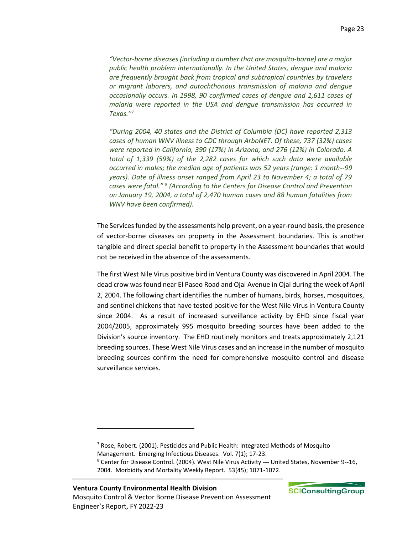*"Vector-borne diseases (including a number that are mosquito-borne) are a major public health problem internationally. In the United States, dengue and malaria are frequently brought back from tropical and subtropical countries by travelers or migrant laborers, and autochthonous transmission of malaria and dengue occasionally occurs. In 1998, 90 confirmed cases of dengue and 1,611 cases of malaria were reported in the USA and dengue transmission has occurred in Texas."<sup>7</sup>*

*"During 2004, 40 states and the District of Columbia (DC) have reported 2,313 cases of human WNV illness to CDC through ArboNET. Of these, 737 (32%) cases were reported in California, 390 (17%) in Arizona, and 276 (12%) in Colorado. A total of 1,339 (59%) of the 2,282 cases for which such data were available occurred in males; the median age of patients was 52 years (range: 1 month--99 years). Date of illness onset ranged from April 23 to November 4; a total of 79 cases were fatal." <sup>8</sup> (According to the Centers for Disease Control and Prevention on January 19, 2004, a total of 2,470 human cases and 88 human fatalities from WNV have been confirmed).*

The Services funded by the assessments help prevent, on a year-round basis, the presence of vector-borne diseases on property in the Assessment boundaries. This is another tangible and direct special benefit to property in the Assessment boundaries that would not be received in the absence of the assessments.

The first West Nile Virus positive bird in Ventura County was discovered in April 2004. The dead crow was found near El Paseo Road and Ojai Avenue in Ojai during the week of April 2, 2004. The following chart identifies the number of humans, birds, horses, mosquitoes, and sentinel chickens that have tested positive for the West Nile Virus in Ventura County since 2004. As a result of increased surveillance activity by EHD since fiscal year 2004/2005, approximately 995 mosquito breeding sources have been added to the Division's source inventory. The EHD routinely monitors and treats approximately 2,121 breeding sources. These West Nile Virus cases and an increase in the number of mosquito breeding sources confirm the need for comprehensive mosquito control and disease surveillance services.



 $7$  Rose, Robert. (2001). Pesticides and Public Health: Integrated Methods of Mosquito Management. Emerging Infectious Diseases. Vol. 7(1); 17-23.

<sup>8</sup> Center for Disease Control. (2004). West Nile Virus Activity --- United States, November 9--16, 2004. Morbidity and Mortality Weekly Report. 53(45); 1071-1072.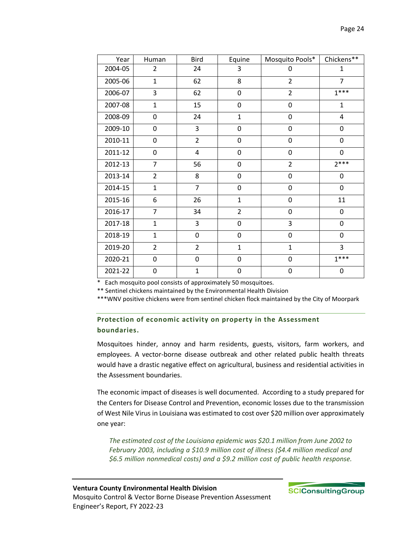| Year    | Human          | <b>Bird</b>             | Equine         | Mosquito Pools* | Chickens**     |
|---------|----------------|-------------------------|----------------|-----------------|----------------|
| 2004-05 | $\overline{2}$ | 24                      | 3              | 0               | $\mathbf{1}$   |
| 2005-06 | $\mathbf{1}$   | 62                      | 8              | $\overline{2}$  | $\overline{7}$ |
| 2006-07 | 3              | 62                      | 0              | $\overline{2}$  | $1***$         |
| 2007-08 | $\mathbf{1}$   | 15                      | 0              | 0               | $\mathbf{1}$   |
| 2008-09 | 0              | 24                      | $\mathbf{1}$   | 0               | 4              |
| 2009-10 | 0              | 3                       | 0              | 0               | 0              |
| 2010-11 | 0              | $\overline{2}$          | 0              | 0               | 0              |
| 2011-12 | 0              | $\overline{\mathbf{4}}$ | $\mathbf 0$    | $\mathbf 0$     | 0              |
| 2012-13 | $\overline{7}$ | 56                      | $\mathbf 0$    | $\overline{2}$  | $2***$         |
| 2013-14 | $\overline{2}$ | 8                       | 0              | 0               | 0              |
| 2014-15 | $\mathbf{1}$   | $\overline{7}$          | $\overline{0}$ | $\mathbf 0$     | $\overline{0}$ |
| 2015-16 | 6              | 26                      | $\mathbf{1}$   | 0               | 11             |
| 2016-17 | $\overline{7}$ | 34                      | $\overline{2}$ | 0               | 0              |
| 2017-18 | $\mathbf{1}$   | 3                       | 0              | 3               | 0              |
| 2018-19 | $\mathbf{1}$   | 0                       | 0              | 0               | 0              |
| 2019-20 | $\overline{2}$ | $\overline{2}$          | $\mathbf{1}$   | $\mathbf{1}$    | 3              |
| 2020-21 | 0              | 0                       | 0              | 0               | $1***$         |
| 2021-22 | 0              | $\mathbf{1}$            | $\mathbf 0$    | $\mathbf 0$     | 0              |

\* Each mosquito pool consists of approximately 50 mosquitoes.

\*\* Sentinel chickens maintained by the Environmental Health Division

<span id="page-29-0"></span>\*\*\*WNV positive chickens were from sentinel chicken flock maintained by the City of Moorpark

#### **Protection of economic activity on property in the Assessment boundaries.**

Mosquitoes hinder, annoy and harm residents, guests, visitors, farm workers, and employees. A vector-borne disease outbreak and other related public health threats would have a drastic negative effect on agricultural, business and residential activities in the Assessment boundaries.

The economic impact of diseases is well documented. According to a study prepared for the Centers for Disease Control and Prevention, economic losses due to the transmission of West Nile Virus in Louisiana was estimated to cost over \$20 million over approximately one year:

*The estimated cost of the Louisiana epidemic was \$20.1 million from June 2002 to February 2003, including a \$10.9 million cost of illness (\$4.4 million medical and \$6.5 million nonmedical costs) and a \$9.2 million cost of public health response.*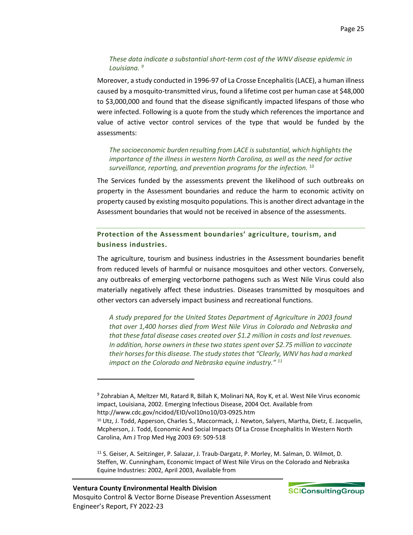#### *These data indicate a substantial short-term cost of the WNV disease epidemic in Louisiana. <sup>9</sup>*

Moreover, a study conducted in 1996-97 of La Crosse Encephalitis (LACE), a human illness caused by a mosquito-transmitted virus, found a lifetime cost per human case at \$48,000 to \$3,000,000 and found that the disease significantly impacted lifespans of those who were infected. Following is a quote from the study which references the importance and value of active vector control services of the type that would be funded by the assessments:

#### *The socioeconomic burden resulting from LACE is substantial, which highlights the importance of the illness in western North Carolina, as well as the need for active surveillance, reporting, and prevention programs for the infection.* <sup>10</sup>

The Services funded by the assessments prevent the likelihood of such outbreaks on property in the Assessment boundaries and reduce the harm to economic activity on property caused by existing mosquito populations. This is another direct advantage in the Assessment boundaries that would not be received in absence of the assessments.

#### <span id="page-30-0"></span>**Protection of the Assessment boundaries' agriculture, tourism, and business industries.**

The agriculture, tourism and business industries in the Assessment boundaries benefit from reduced levels of harmful or nuisance mosquitoes and other vectors. Conversely, any outbreaks of emerging vectorborne pathogens such as West Nile Virus could also materially negatively affect these industries. Diseases transmitted by mosquitoes and other vectors can adversely impact business and recreational functions.

*A study prepared for the United States Department of Agriculture in 2003 found that over 1,400 horses died from West Nile Virus in Colorado and Nebraska and that these fatal disease cases created over \$1.2 million in costs and lost revenues. In addition, horse owners in these two states spent over \$2.75 million to vaccinate their horses for this disease. The study states that "Clearly, WNV has had a marked impact on the Colorado and Nebraska equine industry." <sup>11</sup>*



<sup>9</sup> Zohrabian A, Meltzer MI, Ratard R, Billah K, Molinari NA, Roy K, et al. West Nile Virus economic impact, Louisiana, 2002. Emerging Infectious Disease, 2004 Oct. Available from http://www.cdc.gov/ncidod/EID/vol10no10/03-0925.htm

<sup>10</sup> Utz, J. Todd, Apperson, Charles S., Maccormack, J. Newton, Salyers, Martha, Dietz, E. Jacquelin, Mcpherson, J. Todd, Economic And Social Impacts Of La Crosse Encephalitis In Western North Carolina, Am J Trop Med Hyg 2003 69: 509-518

<sup>&</sup>lt;sup>11</sup> S. Geiser, A. Seitzinger, P. Salazar, J. Traub-Dargatz, P. Morley, M. Salman, D. Wilmot, D. Steffen, W. Cunningham, Economic Impact of West Nile Virus on the Colorado and Nebraska Equine Industries: 2002, April 2003, Available from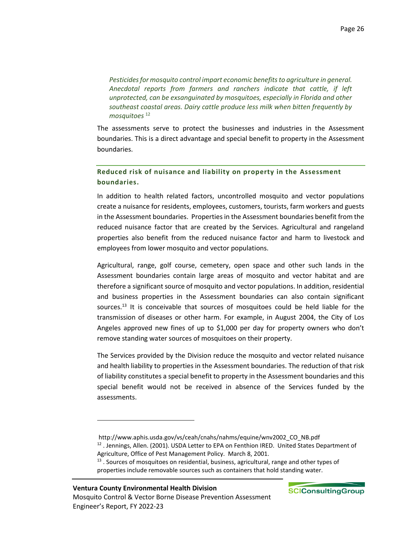*Pesticides for mosquito control impart economic benefits to agriculture in general. Anecdotal reports from farmers and ranchers indicate that cattle, if left unprotected, can be exsanguinated by mosquitoes, especially in Florida and other southeast coastal areas. Dairy cattle produce less milk when bitten frequently by mosquitoes* <sup>12</sup>

The assessments serve to protect the businesses and industries in the Assessment boundaries. This is a direct advantage and special benefit to property in the Assessment boundaries.

#### <span id="page-31-0"></span>**Reduced risk of nuisance and liability on property in the Assessment boundaries.**

In addition to health related factors, uncontrolled mosquito and vector populations create a nuisance for residents, employees, customers, tourists, farm workers and guests in the Assessment boundaries. Properties in the Assessment boundaries benefit from the reduced nuisance factor that are created by the Services. Agricultural and rangeland properties also benefit from the reduced nuisance factor and harm to livestock and employees from lower mosquito and vector populations.

Agricultural, range, golf course, cemetery, open space and other such lands in the Assessment boundaries contain large areas of mosquito and vector habitat and are therefore a significant source of mosquito and vector populations. In addition, residential and business properties in the Assessment boundaries can also contain significant sources.<sup>13</sup> It is conceivable that sources of mosquitoes could be held liable for the transmission of diseases or other harm. For example, in August 2004, the City of Los Angeles approved new fines of up to \$1,000 per day for property owners who don't remove standing water sources of mosquitoes on their property.

The Services provided by the Division reduce the mosquito and vector related nuisance and health liability to properties in the Assessment boundaries. The reduction of that risk of liability constitutes a special benefit to property in the Assessment boundaries and this special benefit would not be received in absence of the Services funded by the assessments.

 $13$ . Sources of mosquitoes on residential, business, agricultural, range and other types of properties include removable sources such as containers that hold standing water.



http://www.aphis.usda.gov/vs/ceah/cnahs/nahms/equine/wnv2002\_CO\_NB.pdf

<sup>&</sup>lt;sup>12</sup>. Jennings, Allen. (2001). USDA Letter to EPA on Fenthion IRED. United States Department of Agriculture, Office of Pest Management Policy. March 8, 2001.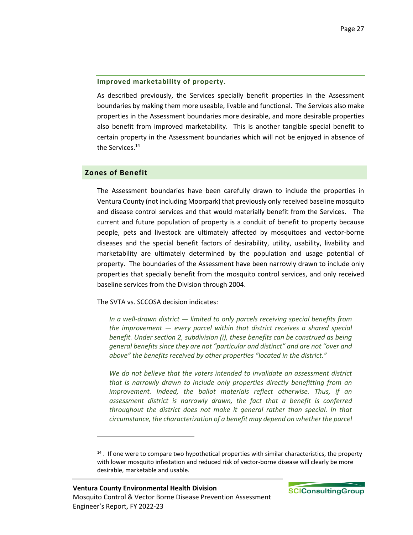#### <span id="page-32-0"></span>**Improved marketability of property.**

As described previously, the Services specially benefit properties in the Assessment boundaries by making them more useable, livable and functional. The Services also make properties in the Assessment boundaries more desirable, and more desirable properties also benefit from improved marketability. This is another tangible special benefit to certain property in the Assessment boundaries which will not be enjoyed in absence of the Services.<sup>14</sup>

#### <span id="page-32-1"></span>**Zones of Benefit**

The Assessment boundaries have been carefully drawn to include the properties in Ventura County (not including Moorpark) that previously only received baseline mosquito and disease control services and that would materially benefit from the Services. The current and future population of property is a conduit of benefit to property because people, pets and livestock are ultimately affected by mosquitoes and vector-borne diseases and the special benefit factors of desirability, utility, usability, livability and marketability are ultimately determined by the population and usage potential of property. The boundaries of the Assessment have been narrowly drawn to include only properties that specially benefit from the mosquito control services, and only received baseline services from the Division through 2004.

The SVTA vs. SCCOSA decision indicates:

*In a well-drawn district — limited to only parcels receiving special benefits from the improvement — every parcel within that district receives a shared special benefit. Under section 2, subdivision (i), these benefits can be construed as being general benefits since they are not "particular and distinct" and are not "over and above" the benefits received by other properties "located in the district."*

*We do not believe that the voters intended to invalidate an assessment district that is narrowly drawn to include only properties directly benefitting from an improvement. Indeed, the ballot materials reflect otherwise. Thus, if an assessment district is narrowly drawn, the fact that a benefit is conferred throughout the district does not make it general rather than special. In that circumstance, the characterization of a benefit may depend on whether the parcel* 

<sup>&</sup>lt;sup>14</sup>. If one were to compare two hypothetical properties with similar characteristics, the property with lower mosquito infestation and reduced risk of vector-borne disease will clearly be more desirable, marketable and usable.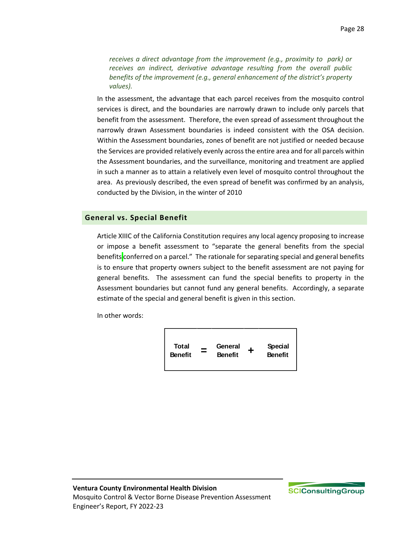*receives a direct advantage from the improvement (e.g., proximity to park) or receives an indirect, derivative advantage resulting from the overall public benefits of the improvement (e.g., general enhancement of the district's property values).*

In the assessment, the advantage that each parcel receives from the mosquito control services is direct, and the boundaries are narrowly drawn to include only parcels that benefit from the assessment. Therefore, the even spread of assessment throughout the narrowly drawn Assessment boundaries is indeed consistent with the OSA decision. Within the Assessment boundaries, zones of benefit are not justified or needed because the Services are provided relatively evenly across the entire area and for all parcels within the Assessment boundaries, and the surveillance, monitoring and treatment are applied in such a manner as to attain a relatively even level of mosquito control throughout the area. As previously described, the even spread of benefit was confirmed by an analysis, conducted by the Division, in the winter of 2010

#### <span id="page-33-0"></span>**General vs. Special Benefit**

Article XIIIC of the California Constitution requires any local agency proposing to increase or impose a benefit assessment to "separate the general benefits from the special benefits conferred on a parcel." The rationale for separating special and general benefits is to ensure that property owners subject to the benefit assessment are not paying for general benefits. The assessment can fund the special benefits to property in the Assessment boundaries but cannot fund any general benefits. Accordingly, a separate estimate of the special and general benefit is given in this section.

In other words:



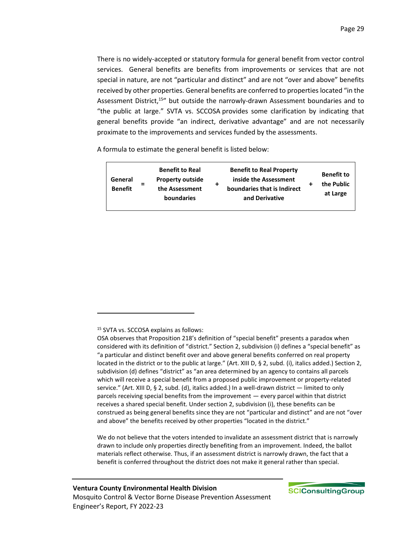There is no widely-accepted or statutory formula for general benefit from vector control services. General benefits are benefits from improvements or services that are not special in nature, are not "particular and distinct" and are not "over and above" benefits received by other properties. General benefits are conferred to properties located "in the Assessment District,<sup>15</sup>" but outside the narrowly-drawn Assessment boundaries and to "the public at large." SVTA vs. SCCOSA provides some clarification by indicating that general benefits provide "an indirect, derivative advantage" and are not necessarily proximate to the improvements and services funded by the assessments.

A formula to estimate the general benefit is listed below:

| General<br>=<br><b>Benefit</b> | <b>Benefit to Real</b><br><b>Property outside</b><br>٠<br>the Assessment<br>boundaries | <b>Benefit to Real Property</b><br>inside the Assessment<br>boundaries that is Indirect<br>and Derivative |  | <b>Benefit to</b><br>the Public<br>at Large |
|--------------------------------|----------------------------------------------------------------------------------------|-----------------------------------------------------------------------------------------------------------|--|---------------------------------------------|
|--------------------------------|----------------------------------------------------------------------------------------|-----------------------------------------------------------------------------------------------------------|--|---------------------------------------------|

We do not believe that the voters intended to invalidate an assessment district that is narrowly drawn to include only properties directly benefiting from an improvement. Indeed, the ballot materials reflect otherwise. Thus, if an assessment district is narrowly drawn, the fact that a benefit is conferred throughout the district does not make it general rather than special.



<sup>15</sup> SVTA vs. SCCOSA explains as follows:

OSA observes that Proposition 218's definition of "special benefit" presents a paradox when considered with its definition of "district." Section 2, subdivision (i) defines a "special benefit" as "a particular and distinct benefit over and above general benefits conferred on real property located in the district or to the public at large." (Art. XIII D, § 2, subd. (i), italics added.) Section 2, subdivision (d) defines "district" as "an area determined by an agency to contains all parcels which will receive a special benefit from a proposed public improvement or property-related service." (Art. XIII D, § 2, subd. (d), italics added.) In a well-drawn district — limited to only parcels receiving special benefits from the improvement — every parcel within that district receives a shared special benefit. Under section 2, subdivision (i), these benefits can be construed as being general benefits since they are not "particular and distinct" and are not "over and above" the benefits received by other properties "located in the district."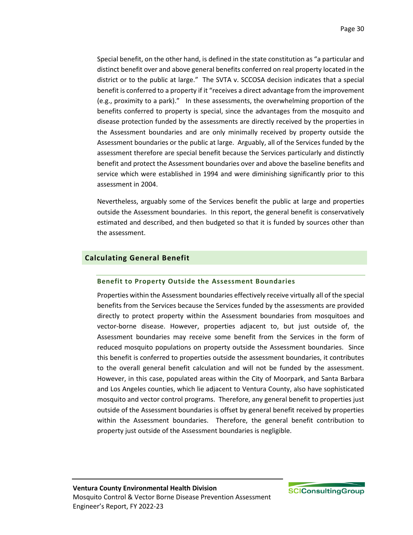Special benefit, on the other hand, is defined in the state constitution as "a particular and distinct benefit over and above general benefits conferred on real property located in the district or to the public at large." The SVTA v. SCCOSA decision indicates that a special benefit is conferred to a property if it "receives a direct advantage from the improvement (e.g., proximity to a park)." In these assessments, the overwhelming proportion of the benefits conferred to property is special, since the advantages from the mosquito and disease protection funded by the assessments are directly received by the properties in the Assessment boundaries and are only minimally received by property outside the Assessment boundaries or the public at large. Arguably, all of the Services funded by the assessment therefore are special benefit because the Services particularly and distinctly benefit and protect the Assessment boundaries over and above the baseline benefits and service which were established in 1994 and were diminishing significantly prior to this assessment in 2004.

Nevertheless, arguably some of the Services benefit the public at large and properties outside the Assessment boundaries. In this report, the general benefit is conservatively estimated and described, and then budgeted so that it is funded by sources other than the assessment.

#### <span id="page-35-0"></span>**Calculating General Benefit**

#### <span id="page-35-1"></span>**Benefit to Property Outside the Assessment Boundaries**

Properties within the Assessment boundaries effectively receive virtually all of the special benefits from the Services because the Services funded by the assessments are provided directly to protect property within the Assessment boundaries from mosquitoes and vector-borne disease. However, properties adjacent to, but just outside of, the Assessment boundaries may receive some benefit from the Services in the form of reduced mosquito populations on property outside the Assessment boundaries. Since this benefit is conferred to properties outside the assessment boundaries, it contributes to the overall general benefit calculation and will not be funded by the assessment. However, in this case, populated areas within the City of Moorpark, and Santa Barbara and Los Angeles counties, which lie adjacent to Ventura County, also have sophisticated mosquito and vector control programs. Therefore, any general benefit to properties just outside of the Assessment boundaries is offset by general benefit received by properties within the Assessment boundaries. Therefore, the general benefit contribution to property just outside of the Assessment boundaries is negligible.

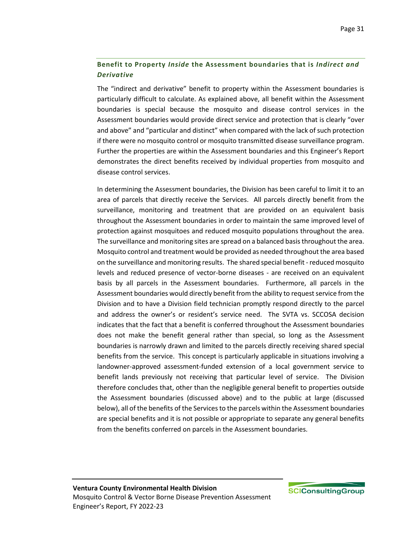#### <span id="page-36-0"></span>**Benefit to Property** *Inside* **the Assessment boundaries that is** *Indirect and Derivative*

The "indirect and derivative" benefit to property within the Assessment boundaries is particularly difficult to calculate. As explained above, all benefit within the Assessment boundaries is special because the mosquito and disease control services in the Assessment boundaries would provide direct service and protection that is clearly "over and above" and "particular and distinct" when compared with the lack of such protection if there were no mosquito control or mosquito transmitted disease surveillance program. Further the properties are within the Assessment boundaries and this Engineer's Report demonstrates the direct benefits received by individual properties from mosquito and disease control services.

In determining the Assessment boundaries, the Division has been careful to limit it to an area of parcels that directly receive the Services. All parcels directly benefit from the surveillance, monitoring and treatment that are provided on an equivalent basis throughout the Assessment boundaries in order to maintain the same improved level of protection against mosquitoes and reduced mosquito populations throughout the area. The surveillance and monitoring sites are spread on a balanced basis throughout the area. Mosquito control and treatment would be provided as needed throughout the area based on the surveillance and monitoring results. The shared special benefit -reduced mosquito levels and reduced presence of vector-borne diseases - are received on an equivalent basis by all parcels in the Assessment boundaries. Furthermore, all parcels in the Assessment boundaries would directly benefit from the ability to request service from the Division and to have a Division field technician promptly respond directly to the parcel and address the owner's or resident's service need. The SVTA vs. SCCOSA decision indicates that the fact that a benefit is conferred throughout the Assessment boundaries does not make the benefit general rather than special, so long as the Assessment boundaries is narrowly drawn and limited to the parcels directly receiving shared special benefits from the service. This concept is particularly applicable in situations involving a landowner-approved assessment-funded extension of a local government service to benefit lands previously not receiving that particular level of service. The Division therefore concludes that, other than the negligible general benefit to properties outside the Assessment boundaries (discussed above) and to the public at large (discussed below), all of the benefits of the Services to the parcels within the Assessment boundaries are special benefits and it is not possible or appropriate to separate any general benefits from the benefits conferred on parcels in the Assessment boundaries.

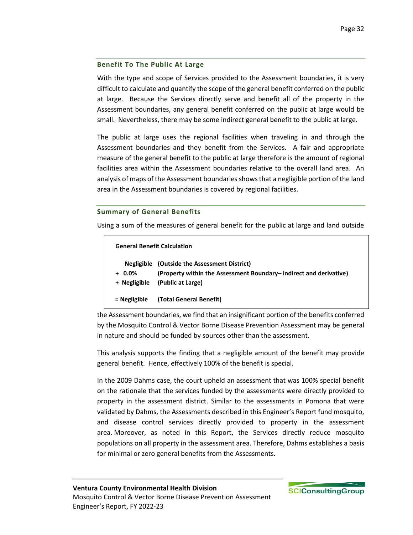#### <span id="page-37-0"></span>**Benefit To The Public At Large**

With the type and scope of Services provided to the Assessment boundaries, it is very difficult to calculate and quantify the scope of the general benefit conferred on the public at large. Because the Services directly serve and benefit all of the property in the Assessment boundaries, any general benefit conferred on the public at large would be small. Nevertheless, there may be some indirect general benefit to the public at large.

The public at large uses the regional facilities when traveling in and through the Assessment boundaries and they benefit from the Services. A fair and appropriate measure of the general benefit to the public at large therefore is the amount of regional facilities area within the Assessment boundaries relative to the overall land area. An analysis of maps of the Assessment boundariesshows that a negligible portion of the land area in the Assessment boundaries is covered by regional facilities.

#### <span id="page-37-1"></span>**Summary of General Benefits**

Using a sum of the measures of general benefit for the public at large and land outside

| <b>General Benefit Calculation</b> |                                                                                                                                         |
|------------------------------------|-----------------------------------------------------------------------------------------------------------------------------------------|
| $+ 0.0\%$<br>+ Negligible          | Negligible (Outside the Assessment District)<br>(Property within the Assessment Boundary– indirect and derivative)<br>(Public at Large) |
| = Negligible                       | (Total General Benefit)                                                                                                                 |

the Assessment boundaries, we find that an insignificant portion of the benefits conferred by the Mosquito Control & Vector Borne Disease Prevention Assessment may be general in nature and should be funded by sources other than the assessment.

This analysis supports the finding that a negligible amount of the benefit may provide general benefit. Hence, effectively 100% of the benefit is special.

In the 2009 Dahms case, the court upheld an assessment that was 100% special benefit on the rationale that the services funded by the assessments were directly provided to property in the assessment district. Similar to the assessments in Pomona that were validated by Dahms, the Assessments described in this Engineer's Report fund mosquito, and disease control services directly provided to property in the assessment area. Moreover, as noted in this Report, the Services directly reduce mosquito populations on all property in the assessment area. Therefore, Dahms establishes a basis for minimal or zero general benefits from the Assessments.

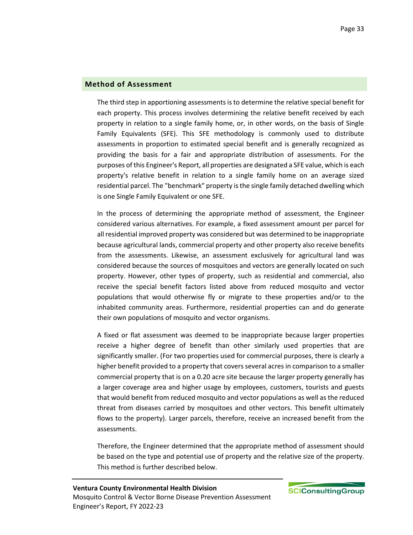#### <span id="page-38-0"></span>**Method of Assessment**

The third step in apportioning assessments is to determine the relative special benefit for each property. This process involves determining the relative benefit received by each property in relation to a single family home, or, in other words, on the basis of Single Family Equivalents (SFE). This SFE methodology is commonly used to distribute assessments in proportion to estimated special benefit and is generally recognized as providing the basis for a fair and appropriate distribution of assessments. For the purposes of this Engineer's Report, all properties are designated a SFE value, which is each property's relative benefit in relation to a single family home on an average sized residential parcel. The "benchmark" property is the single family detached dwelling which is one Single Family Equivalent or one SFE.

In the process of determining the appropriate method of assessment, the Engineer considered various alternatives. For example, a fixed assessment amount per parcel for all residential improved property was considered but was determined to be inappropriate because agricultural lands, commercial property and other property also receive benefits from the assessments. Likewise, an assessment exclusively for agricultural land was considered because the sources of mosquitoes and vectors are generally located on such property. However, other types of property, such as residential and commercial, also receive the special benefit factors listed above from reduced mosquito and vector populations that would otherwise fly or migrate to these properties and/or to the inhabited community areas. Furthermore, residential properties can and do generate their own populations of mosquito and vector organisms.

A fixed or flat assessment was deemed to be inappropriate because larger properties receive a higher degree of benefit than other similarly used properties that are significantly smaller. (For two properties used for commercial purposes, there is clearly a higher benefit provided to a property that covers several acres in comparison to a smaller commercial property that is on a 0.20 acre site because the larger property generally has a larger coverage area and higher usage by employees, customers, tourists and guests that would benefit from reduced mosquito and vector populations as well as the reduced threat from diseases carried by mosquitoes and other vectors. This benefit ultimately flows to the property). Larger parcels, therefore, receive an increased benefit from the assessments.

Therefore, the Engineer determined that the appropriate method of assessment should be based on the type and potential use of property and the relative size of the property. This method is further described below.

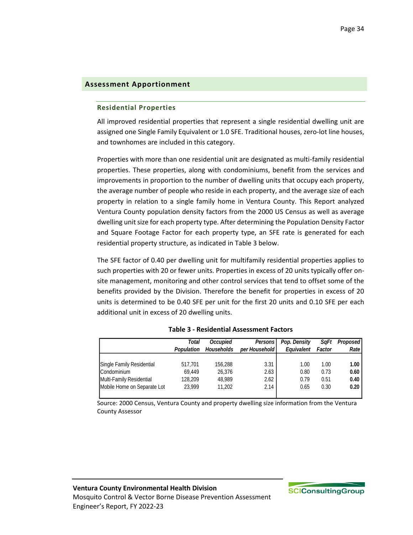#### <span id="page-39-0"></span>**Assessment Apportionment**

#### <span id="page-39-1"></span>**Residential Properties**

All improved residential properties that represent a single residential dwelling unit are assigned one Single Family Equivalent or 1.0 SFE. Traditional houses, zero-lot line houses, and townhomes are included in this category.

Properties with more than one residential unit are designated as multi-family residential properties. These properties, along with condominiums, benefit from the services and improvements in proportion to the number of dwelling units that occupy each property, the average number of people who reside in each property, and the average size of each property in relation to a single family home in Ventura County. This Report analyzed Ventura County population density factors from the 2000 US Census as well as average dwelling unit size for each property type. After determining the Population Density Factor and Square Footage Factor for each property type, an SFE rate is generated for each residential property structure, as indicated in Table 3 below.

The SFE factor of 0.40 per dwelling unit for multifamily residential properties applies to such properties with 20 or fewer units. Properties in excess of 20 units typically offer onsite management, monitoring and other control services that tend to offset some of the benefits provided by the Division. Therefore the benefit for properties in excess of 20 units is determined to be 0.40 SFE per unit for the first 20 units and 0.10 SFE per each additional unit in excess of 20 dwelling units.

<span id="page-39-2"></span>

|                             | Total             | <b>Occupied</b>   | Persons       | Pop. Density      | SaFt   | <b>Proposed</b> |
|-----------------------------|-------------------|-------------------|---------------|-------------------|--------|-----------------|
|                             | <b>Population</b> | <b>Households</b> | per Household | <b>Equivalent</b> | Factor | Rate            |
| Single Family Residential   | 517.701           | 156.288           | 3.31          | 1.00              | 1.00   | 1.00            |
| Condominium                 | 69.449            | 26.376            | 2.63          | 0.80              | 0.73   | 0.60            |
| Multi-Family Residential    | 128.209           | 48.989            | 2.62          | 0.79              | 0.51   | 0.40            |
| Mobile Home on Separate Lot | 23,999            | 11.202            | 2.14          | 0.65              | 0.30   | 0.20            |

**Table 3 - Residential Assessment Factors**

Source: 2000 Census, Ventura County and property dwelling size information from the Ventura County Assessor

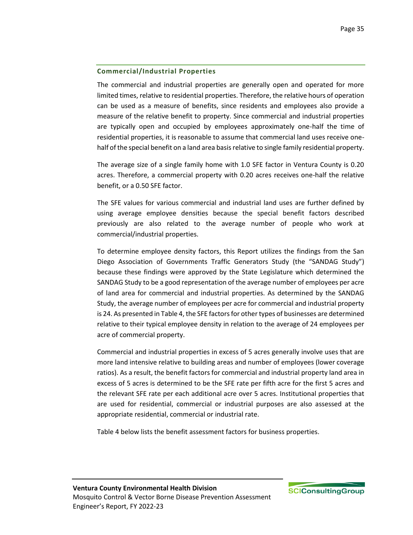#### <span id="page-40-0"></span>**Commercial/Industrial Properties**

The commercial and industrial properties are generally open and operated for more limited times, relative to residential properties. Therefore, the relative hours of operation can be used as a measure of benefits, since residents and employees also provide a measure of the relative benefit to property. Since commercial and industrial properties are typically open and occupied by employees approximately one-half the time of residential properties, it is reasonable to assume that commercial land uses receive onehalf of the special benefit on a land area basis relative to single family residential property.

The average size of a single family home with 1.0 SFE factor in Ventura County is 0.20 acres. Therefore, a commercial property with 0.20 acres receives one-half the relative benefit, or a 0.50 SFE factor.

The SFE values for various commercial and industrial land uses are further defined by using average employee densities because the special benefit factors described previously are also related to the average number of people who work at commercial/industrial properties.

To determine employee density factors, this Report utilizes the findings from the San Diego Association of Governments Traffic Generators Study (the "SANDAG Study") because these findings were approved by the State Legislature which determined the SANDAG Study to be a good representation of the average number of employees per acre of land area for commercial and industrial properties. As determined by the SANDAG Study, the average number of employees per acre for commercial and industrial property is 24. As presented in Table 4, the SFE factors for other types of businesses are determined relative to their typical employee density in relation to the average of 24 employees per acre of commercial property.

Commercial and industrial properties in excess of 5 acres generally involve uses that are more land intensive relative to building areas and number of employees (lower coverage ratios). As a result, the benefit factors for commercial and industrial property land area in excess of 5 acres is determined to be the SFE rate per fifth acre for the first 5 acres and the relevant SFE rate per each additional acre over 5 acres. Institutional properties that are used for residential, commercial or industrial purposes are also assessed at the appropriate residential, commercial or industrial rate.

Table 4 below lists the benefit assessment factors for business properties.

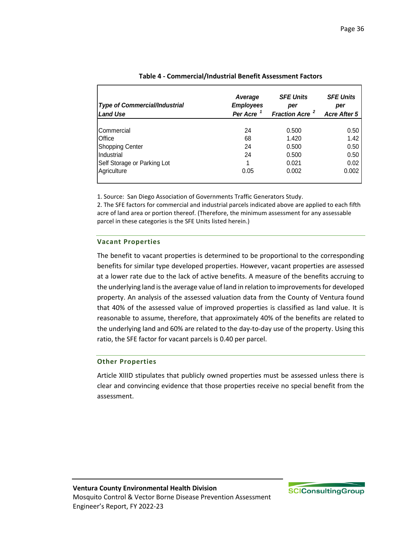<span id="page-41-2"></span>

| <b>Type of Commercial/Industrial</b><br><b>Land Use</b> | Average<br><b>Employees</b><br>Per Acre <sup>1</sup> | <b>SFE Units</b><br>per<br>Fraction Acre <sup>2</sup> | <b>SFE Units</b><br>per<br><b>Acre After 5</b> |
|---------------------------------------------------------|------------------------------------------------------|-------------------------------------------------------|------------------------------------------------|
|                                                         |                                                      |                                                       |                                                |
| ICommercial                                             | 24                                                   | 0.500                                                 | 0.50                                           |
| <b>O</b> ffice                                          | 68                                                   | 1.420                                                 | 1.42                                           |
| <b>Shopping Center</b>                                  | 24                                                   | 0.500                                                 | 0.50                                           |
| Industrial                                              | 24                                                   | 0.500                                                 | 0.50                                           |
| Self Storage or Parking Lot                             |                                                      | 0.021                                                 | 0.02                                           |
| Agriculture                                             | 0.05                                                 | 0.002                                                 | 0.002                                          |

#### **Table 4 - Commercial/Industrial Benefit Assessment Factors**

1. Source: San Diego Association of Governments Traffic Generators Study.

2. The SFE factors for commercial and industrial parcels indicated above are applied to each fifth acre of land area or portion thereof. (Therefore, the minimum assessment for any assessable parcel in these categories is the SFE Units listed herein.)

#### <span id="page-41-0"></span>**Vacant Properties**

The benefit to vacant properties is determined to be proportional to the corresponding benefits for similar type developed properties. However, vacant properties are assessed at a lower rate due to the lack of active benefits. A measure of the benefits accruing to the underlying land is the average value of land in relation to improvements for developed property. An analysis of the assessed valuation data from the County of Ventura found that 40% of the assessed value of improved properties is classified as land value. It is reasonable to assume, therefore, that approximately 40% of the benefits are related to the underlying land and 60% are related to the day-to-day use of the property. Using this ratio, the SFE factor for vacant parcels is 0.40 per parcel.

#### <span id="page-41-1"></span>**Other Properties**

Article XIIID stipulates that publicly owned properties must be assessed unless there is clear and convincing evidence that those properties receive no special benefit from the assessment.

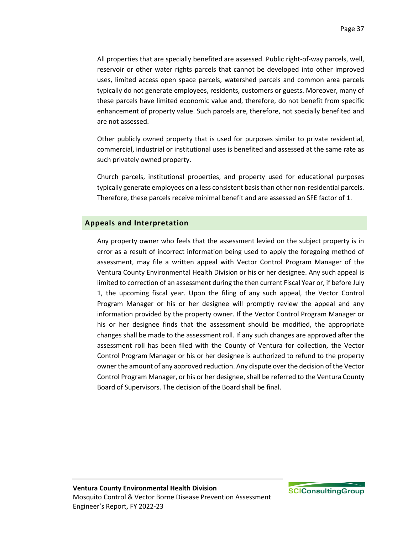All properties that are specially benefited are assessed. Public right-of-way parcels, well, reservoir or other water rights parcels that cannot be developed into other improved uses, limited access open space parcels, watershed parcels and common area parcels typically do not generate employees, residents, customers or guests. Moreover, many of these parcels have limited economic value and, therefore, do not benefit from specific enhancement of property value. Such parcels are, therefore, not specially benefited and are not assessed.

Other publicly owned property that is used for purposes similar to private residential, commercial, industrial or institutional uses is benefited and assessed at the same rate as such privately owned property.

Church parcels, institutional properties, and property used for educational purposes typically generate employees on a less consistent basis than other non-residential parcels. Therefore, these parcels receive minimal benefit and are assessed an SFE factor of 1.

#### <span id="page-42-0"></span>**Appeals and Interpretation**

Any property owner who feels that the assessment levied on the subject property is in error as a result of incorrect information being used to apply the foregoing method of assessment, may file a written appeal with Vector Control Program Manager of the Ventura County Environmental Health Division or his or her designee. Any such appeal is limited to correction of an assessment during the then current Fiscal Year or, if before July 1, the upcoming fiscal year. Upon the filing of any such appeal, the Vector Control Program Manager or his or her designee will promptly review the appeal and any information provided by the property owner. If the Vector Control Program Manager or his or her designee finds that the assessment should be modified, the appropriate changes shall be made to the assessment roll. If any such changes are approved after the assessment roll has been filed with the County of Ventura for collection, the Vector Control Program Manager or his or her designee is authorized to refund to the property owner the amount of any approved reduction. Any dispute over the decision of the Vector Control Program Manager, or his or her designee, shall be referred to the Ventura County Board of Supervisors. The decision of the Board shall be final.

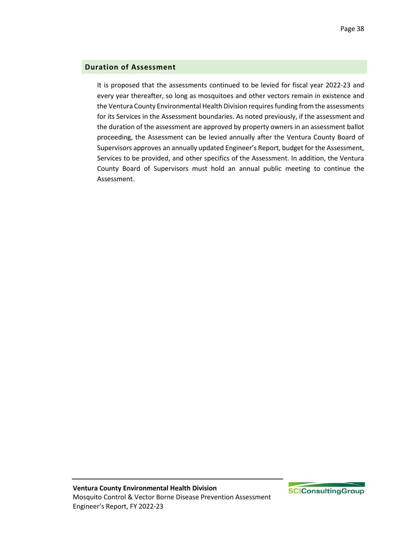#### <span id="page-43-0"></span>**Duration of Assessment**

It is proposed that the assessments continued to be levied for fiscal year 2022-23 and every year thereafter, so long as mosquitoes and other vectors remain in existence and the Ventura County Environmental Health Division requires funding from the assessments for its Services in the Assessment boundaries. As noted previously, if the assessment and the duration of the assessment are approved by property owners in an assessment ballot proceeding, the Assessment can be levied annually after the Ventura County Board of Supervisors approves an annually updated Engineer's Report, budget for the Assessment, Services to be provided, and other specifics of the Assessment. In addition, the Ventura County Board of Supervisors must hold an annual public meeting to continue the Assessment.

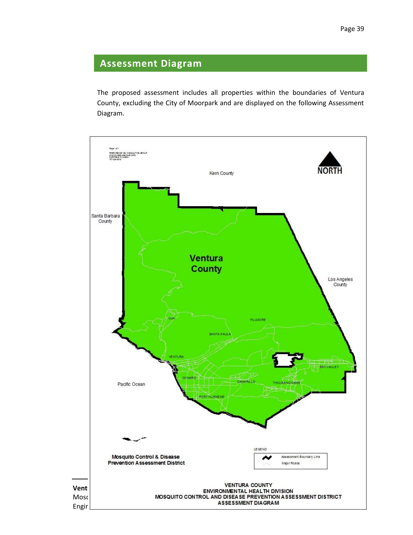## <span id="page-44-0"></span>**Assessment Diagram**

The proposed assessment includes all properties within the boundaries of Ventura County, excluding the City of Moorpark and are displayed on the following Assessment Diagram.